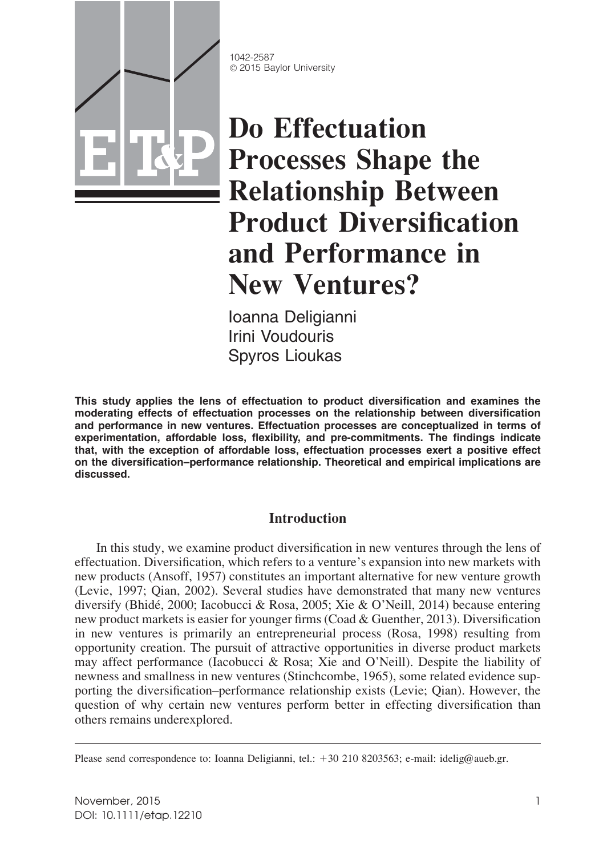

1042-2587 © 2015 Baylor University

# Do Effectuation Processes Shape the Relationship Between Product Diversification and Performance in New Ventures?

Ioanna Deligianni Irini Voudouris Spyros Lioukas

This study applies the lens of effectuation to product diversification and examines the moderating effects of effectuation processes on the relationship between diversification and performance in new ventures. Effectuation processes are conceptualized in terms of experimentation, affordable loss, flexibility, and pre-commitments. The findings indicate that, with the exception of affordable loss, effectuation processes exert a positive effect on the diversification–performance relationship. Theoretical and empirical implications are discussed.

# Introduction

In this study, we examine product diversification in new ventures through the lens of effectuation. Diversification, which refers to a venture's expansion into new markets with new products (Ansoff, 1957) constitutes an important alternative for new venture growth (Levie, 1997; Qian, 2002). Several studies have demonstrated that many new ventures diversify (Bhidé, 2000; Iacobucci & Rosa, 2005; Xie & O'Neill, 2014) because entering new product markets is easier for younger firms (Coad & Guenther, 2013). Diversification in new ventures is primarily an entrepreneurial process (Rosa, 1998) resulting from opportunity creation. The pursuit of attractive opportunities in diverse product markets may affect performance (Iacobucci & Rosa; Xie and O'Neill). Despite the liability of newness and smallness in new ventures (Stinchcombe, 1965), some related evidence supporting the diversification–performance relationship exists (Levie; Qian). However, the question of why certain new ventures perform better in effecting diversification than others remains underexplored.

Please send correspondence to: Ioanna Deligianni, tel.: +30 210 8203563; e-mail: idelig@aueb.gr.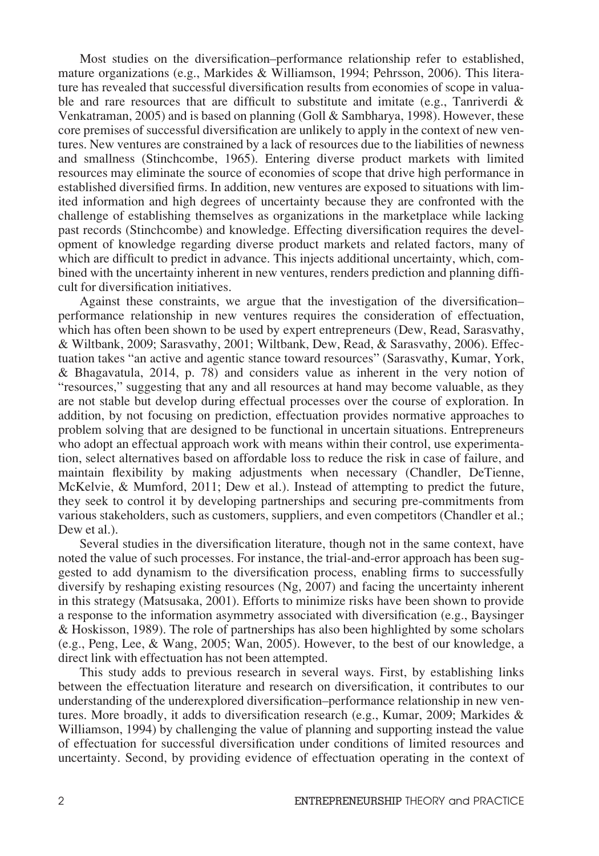Most studies on the diversification–performance relationship refer to established, mature organizations (e.g., Markides & Williamson, 1994; Pehrsson, 2006). This literature has revealed that successful diversification results from economies of scope in valuable and rare resources that are difficult to substitute and imitate (e.g., Tanriverdi  $\&$ Venkatraman, 2005) and is based on planning (Goll & Sambharya, 1998). However, these core premises of successful diversification are unlikely to apply in the context of new ventures. New ventures are constrained by a lack of resources due to the liabilities of newness and smallness (Stinchcombe, 1965). Entering diverse product markets with limited resources may eliminate the source of economies of scope that drive high performance in established diversified firms. In addition, new ventures are exposed to situations with limited information and high degrees of uncertainty because they are confronted with the challenge of establishing themselves as organizations in the marketplace while lacking past records (Stinchcombe) and knowledge. Effecting diversification requires the development of knowledge regarding diverse product markets and related factors, many of which are difficult to predict in advance. This injects additional uncertainty, which, combined with the uncertainty inherent in new ventures, renders prediction and planning difficult for diversification initiatives.

Against these constraints, we argue that the investigation of the diversification– performance relationship in new ventures requires the consideration of effectuation, which has often been shown to be used by expert entrepreneurs (Dew, Read, Sarasvathy, & Wiltbank, 2009; Sarasvathy, 2001; Wiltbank, Dew, Read, & Sarasvathy, 2006). Effectuation takes "an active and agentic stance toward resources" (Sarasvathy, Kumar, York, & Bhagavatula, 2014, p. 78) and considers value as inherent in the very notion of "resources," suggesting that any and all resources at hand may become valuable, as they are not stable but develop during effectual processes over the course of exploration. In addition, by not focusing on prediction, effectuation provides normative approaches to problem solving that are designed to be functional in uncertain situations. Entrepreneurs who adopt an effectual approach work with means within their control, use experimentation, select alternatives based on affordable loss to reduce the risk in case of failure, and maintain flexibility by making adjustments when necessary (Chandler, DeTienne, McKelvie, & Mumford, 2011; Dew et al.). Instead of attempting to predict the future, they seek to control it by developing partnerships and securing pre-commitments from various stakeholders, such as customers, suppliers, and even competitors (Chandler et al.; Dew et al.).

Several studies in the diversification literature, though not in the same context, have noted the value of such processes. For instance, the trial-and-error approach has been suggested to add dynamism to the diversification process, enabling firms to successfully diversify by reshaping existing resources (Ng, 2007) and facing the uncertainty inherent in this strategy (Matsusaka, 2001). Efforts to minimize risks have been shown to provide a response to the information asymmetry associated with diversification (e.g., Baysinger & Hoskisson, 1989). The role of partnerships has also been highlighted by some scholars (e.g., Peng, Lee, & Wang, 2005; Wan, 2005). However, to the best of our knowledge, a direct link with effectuation has not been attempted.

This study adds to previous research in several ways. First, by establishing links between the effectuation literature and research on diversification, it contributes to our understanding of the underexplored diversification–performance relationship in new ventures. More broadly, it adds to diversification research (e.g., Kumar, 2009; Markides & Williamson, 1994) by challenging the value of planning and supporting instead the value of effectuation for successful diversification under conditions of limited resources and uncertainty. Second, by providing evidence of effectuation operating in the context of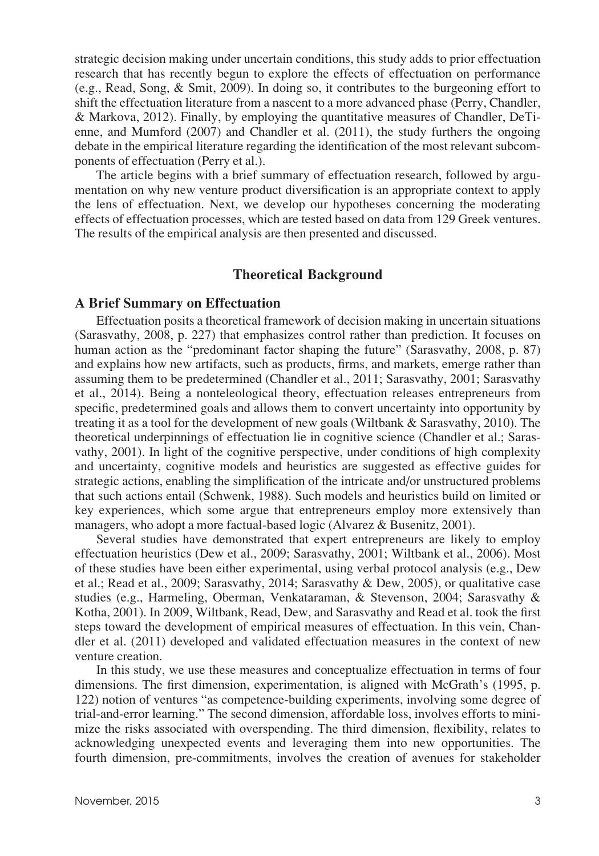strategic decision making under uncertain conditions, this study adds to prior effectuation research that has recently begun to explore the effects of effectuation on performance (e.g., Read, Song, & Smit, 2009). In doing so, it contributes to the burgeoning effort to shift the effectuation literature from a nascent to a more advanced phase (Perry, Chandler, & Markova, 2012). Finally, by employing the quantitative measures of Chandler, DeTienne, and Mumford (2007) and Chandler et al. (2011), the study furthers the ongoing debate in the empirical literature regarding the identification of the most relevant subcomponents of effectuation (Perry et al.).

The article begins with a brief summary of effectuation research, followed by argumentation on why new venture product diversification is an appropriate context to apply the lens of effectuation. Next, we develop our hypotheses concerning the moderating effects of effectuation processes, which are tested based on data from 129 Greek ventures. The results of the empirical analysis are then presented and discussed.

#### Theoretical Background

#### A Brief Summary on Effectuation

Effectuation posits a theoretical framework of decision making in uncertain situations (Sarasvathy, 2008, p. 227) that emphasizes control rather than prediction. It focuses on human action as the "predominant factor shaping the future" (Sarasvathy, 2008, p. 87) and explains how new artifacts, such as products, firms, and markets, emerge rather than assuming them to be predetermined (Chandler et al., 2011; Sarasvathy, 2001; Sarasvathy et al., 2014). Being a nonteleological theory, effectuation releases entrepreneurs from specific, predetermined goals and allows them to convert uncertainty into opportunity by treating it as a tool for the development of new goals (Wiltbank & Sarasvathy, 2010). The theoretical underpinnings of effectuation lie in cognitive science (Chandler et al.; Sarasvathy, 2001). In light of the cognitive perspective, under conditions of high complexity and uncertainty, cognitive models and heuristics are suggested as effective guides for strategic actions, enabling the simplification of the intricate and/or unstructured problems that such actions entail (Schwenk, 1988). Such models and heuristics build on limited or key experiences, which some argue that entrepreneurs employ more extensively than managers, who adopt a more factual-based logic (Alvarez & Busenitz, 2001).

Several studies have demonstrated that expert entrepreneurs are likely to employ effectuation heuristics (Dew et al., 2009; Sarasvathy, 2001; Wiltbank et al., 2006). Most of these studies have been either experimental, using verbal protocol analysis (e.g., Dew et al.; Read et al., 2009; Sarasvathy, 2014; Sarasvathy & Dew, 2005), or qualitative case studies (e.g., Harmeling, Oberman, Venkataraman, & Stevenson, 2004; Sarasvathy & Kotha, 2001). In 2009, Wiltbank, Read, Dew, and Sarasvathy and Read et al. took the first steps toward the development of empirical measures of effectuation. In this vein, Chandler et al. (2011) developed and validated effectuation measures in the context of new venture creation.

In this study, we use these measures and conceptualize effectuation in terms of four dimensions. The first dimension, experimentation, is aligned with McGrath's (1995, p. 122) notion of ventures "as competence-building experiments, involving some degree of trial-and-error learning." The second dimension, affordable loss, involves efforts to minimize the risks associated with overspending. The third dimension, flexibility, relates to acknowledging unexpected events and leveraging them into new opportunities. The fourth dimension, pre-commitments, involves the creation of avenues for stakeholder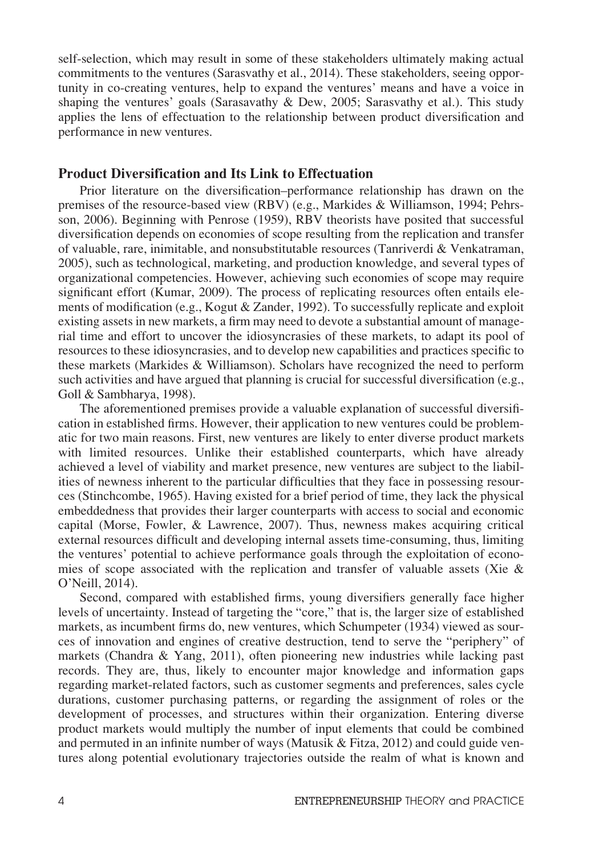self-selection, which may result in some of these stakeholders ultimately making actual commitments to the ventures (Sarasvathy et al., 2014). These stakeholders, seeing opportunity in co-creating ventures, help to expand the ventures' means and have a voice in shaping the ventures' goals (Sarasavathy  $\&$  Dew, 2005; Sarasvathy et al.). This study applies the lens of effectuation to the relationship between product diversification and performance in new ventures.

### Product Diversification and Its Link to Effectuation

Prior literature on the diversification–performance relationship has drawn on the premises of the resource-based view (RBV) (e.g., Markides & Williamson, 1994; Pehrsson, 2006). Beginning with Penrose (1959), RBV theorists have posited that successful diversification depends on economies of scope resulting from the replication and transfer of valuable, rare, inimitable, and nonsubstitutable resources (Tanriverdi & Venkatraman, 2005), such as technological, marketing, and production knowledge, and several types of organizational competencies. However, achieving such economies of scope may require significant effort (Kumar, 2009). The process of replicating resources often entails elements of modification (e.g., Kogut & Zander, 1992). To successfully replicate and exploit existing assets in new markets, a firm may need to devote a substantial amount of managerial time and effort to uncover the idiosyncrasies of these markets, to adapt its pool of resources to these idiosyncrasies, and to develop new capabilities and practices specific to these markets (Markides & Williamson). Scholars have recognized the need to perform such activities and have argued that planning is crucial for successful diversification (e.g., Goll & Sambharya, 1998).

The aforementioned premises provide a valuable explanation of successful diversification in established firms. However, their application to new ventures could be problematic for two main reasons. First, new ventures are likely to enter diverse product markets with limited resources. Unlike their established counterparts, which have already achieved a level of viability and market presence, new ventures are subject to the liabilities of newness inherent to the particular difficulties that they face in possessing resources (Stinchcombe, 1965). Having existed for a brief period of time, they lack the physical embeddedness that provides their larger counterparts with access to social and economic capital (Morse, Fowler, & Lawrence, 2007). Thus, newness makes acquiring critical external resources difficult and developing internal assets time-consuming, thus, limiting the ventures' potential to achieve performance goals through the exploitation of economies of scope associated with the replication and transfer of valuable assets (Xie  $\&$ O'Neill, 2014).

Second, compared with established firms, young diversifiers generally face higher levels of uncertainty. Instead of targeting the "core," that is, the larger size of established markets, as incumbent firms do, new ventures, which Schumpeter (1934) viewed as sources of innovation and engines of creative destruction, tend to serve the "periphery" of markets (Chandra & Yang, 2011), often pioneering new industries while lacking past records. They are, thus, likely to encounter major knowledge and information gaps regarding market-related factors, such as customer segments and preferences, sales cycle durations, customer purchasing patterns, or regarding the assignment of roles or the development of processes, and structures within their organization. Entering diverse product markets would multiply the number of input elements that could be combined and permuted in an infinite number of ways (Matusik & Fitza, 2012) and could guide ventures along potential evolutionary trajectories outside the realm of what is known and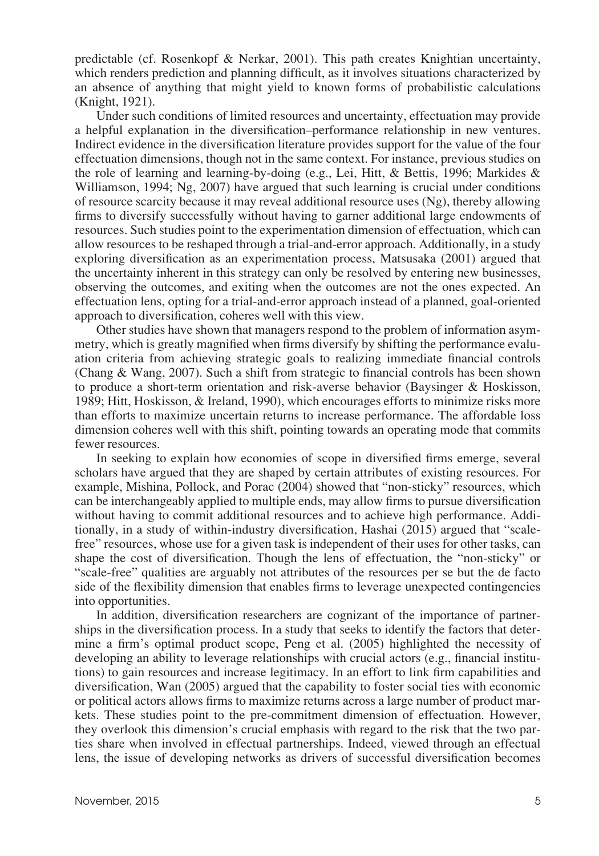predictable (cf. Rosenkopf & Nerkar, 2001). This path creates Knightian uncertainty, which renders prediction and planning difficult, as it involves situations characterized by an absence of anything that might yield to known forms of probabilistic calculations (Knight, 1921).

Under such conditions of limited resources and uncertainty, effectuation may provide a helpful explanation in the diversification–performance relationship in new ventures. Indirect evidence in the diversification literature provides support for the value of the four effectuation dimensions, though not in the same context. For instance, previous studies on the role of learning and learning-by-doing (e.g., Lei, Hitt, & Bettis, 1996; Markides & Williamson, 1994; Ng, 2007) have argued that such learning is crucial under conditions of resource scarcity because it may reveal additional resource uses (Ng), thereby allowing firms to diversify successfully without having to garner additional large endowments of resources. Such studies point to the experimentation dimension of effectuation, which can allow resources to be reshaped through a trial-and-error approach. Additionally, in a study exploring diversification as an experimentation process, Matsusaka (2001) argued that the uncertainty inherent in this strategy can only be resolved by entering new businesses, observing the outcomes, and exiting when the outcomes are not the ones expected. An effectuation lens, opting for a trial-and-error approach instead of a planned, goal-oriented approach to diversification, coheres well with this view.

Other studies have shown that managers respond to the problem of information asymmetry, which is greatly magnified when firms diversify by shifting the performance evaluation criteria from achieving strategic goals to realizing immediate financial controls (Chang & Wang, 2007). Such a shift from strategic to financial controls has been shown to produce a short-term orientation and risk-averse behavior (Baysinger & Hoskisson, 1989; Hitt, Hoskisson, & Ireland, 1990), which encourages efforts to minimize risks more than efforts to maximize uncertain returns to increase performance. The affordable loss dimension coheres well with this shift, pointing towards an operating mode that commits fewer resources.

In seeking to explain how economies of scope in diversified firms emerge, several scholars have argued that they are shaped by certain attributes of existing resources. For example, Mishina, Pollock, and Porac (2004) showed that "non-sticky" resources, which can be interchangeably applied to multiple ends, may allow firms to pursue diversification without having to commit additional resources and to achieve high performance. Additionally, in a study of within-industry diversification, Hashai (2015) argued that "scalefree" resources, whose use for a given task is independent of their uses for other tasks, can shape the cost of diversification. Though the lens of effectuation, the "non-sticky" or "scale-free" qualities are arguably not attributes of the resources per se but the de facto side of the flexibility dimension that enables firms to leverage unexpected contingencies into opportunities.

In addition, diversification researchers are cognizant of the importance of partnerships in the diversification process. In a study that seeks to identify the factors that determine a firm's optimal product scope, Peng et al. (2005) highlighted the necessity of developing an ability to leverage relationships with crucial actors (e.g., financial institutions) to gain resources and increase legitimacy. In an effort to link firm capabilities and diversification, Wan (2005) argued that the capability to foster social ties with economic or political actors allows firms to maximize returns across a large number of product markets. These studies point to the pre-commitment dimension of effectuation. However, they overlook this dimension's crucial emphasis with regard to the risk that the two parties share when involved in effectual partnerships. Indeed, viewed through an effectual lens, the issue of developing networks as drivers of successful diversification becomes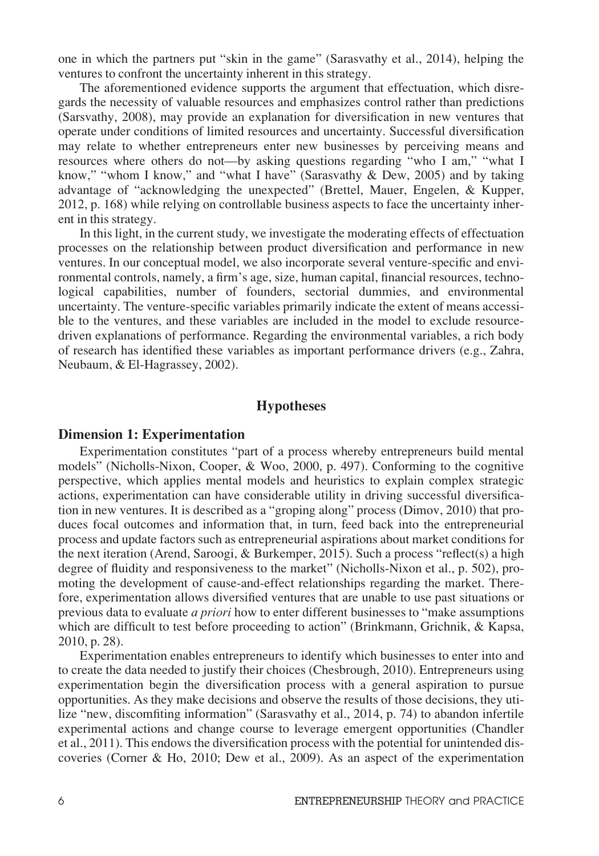one in which the partners put "skin in the game" (Sarasvathy et al., 2014), helping the ventures to confront the uncertainty inherent in this strategy.

The aforementioned evidence supports the argument that effectuation, which disregards the necessity of valuable resources and emphasizes control rather than predictions (Sarsvathy, 2008), may provide an explanation for diversification in new ventures that operate under conditions of limited resources and uncertainty. Successful diversification may relate to whether entrepreneurs enter new businesses by perceiving means and resources where others do not—by asking questions regarding "who I am," "what I know," "whom I know," and "what I have" (Sarasvathy & Dew, 2005) and by taking advantage of "acknowledging the unexpected" (Brettel, Mauer, Engelen, & Kupper, 2012, p. 168) while relying on controllable business aspects to face the uncertainty inherent in this strategy.

In this light, in the current study, we investigate the moderating effects of effectuation processes on the relationship between product diversification and performance in new ventures. In our conceptual model, we also incorporate several venture-specific and environmental controls, namely, a firm's age, size, human capital, financial resources, technological capabilities, number of founders, sectorial dummies, and environmental uncertainty. The venture-specific variables primarily indicate the extent of means accessible to the ventures, and these variables are included in the model to exclude resourcedriven explanations of performance. Regarding the environmental variables, a rich body of research has identified these variables as important performance drivers (e.g., Zahra, Neubaum, & El-Hagrassey, 2002).

#### **Hypotheses**

#### Dimension 1: Experimentation

Experimentation constitutes "part of a process whereby entrepreneurs build mental models" (Nicholls-Nixon, Cooper, & Woo, 2000, p. 497). Conforming to the cognitive perspective, which applies mental models and heuristics to explain complex strategic actions, experimentation can have considerable utility in driving successful diversification in new ventures. It is described as a "groping along" process (Dimov, 2010) that produces focal outcomes and information that, in turn, feed back into the entrepreneurial process and update factors such as entrepreneurial aspirations about market conditions for the next iteration (Arend, Saroogi, & Burkemper, 2015). Such a process "reflect(s) a high degree of fluidity and responsiveness to the market" (Nicholls-Nixon et al., p. 502), promoting the development of cause-and-effect relationships regarding the market. Therefore, experimentation allows diversified ventures that are unable to use past situations or previous data to evaluate a priori how to enter different businesses to "make assumptions which are difficult to test before proceeding to action" (Brinkmann, Grichnik, & Kapsa, 2010, p. 28).

Experimentation enables entrepreneurs to identify which businesses to enter into and to create the data needed to justify their choices (Chesbrough, 2010). Entrepreneurs using experimentation begin the diversification process with a general aspiration to pursue opportunities. As they make decisions and observe the results of those decisions, they utilize "new, discomfiting information" (Sarasvathy et al., 2014, p. 74) to abandon infertile experimental actions and change course to leverage emergent opportunities (Chandler et al., 2011). This endows the diversification process with the potential for unintended discoveries (Corner & Ho, 2010; Dew et al., 2009). As an aspect of the experimentation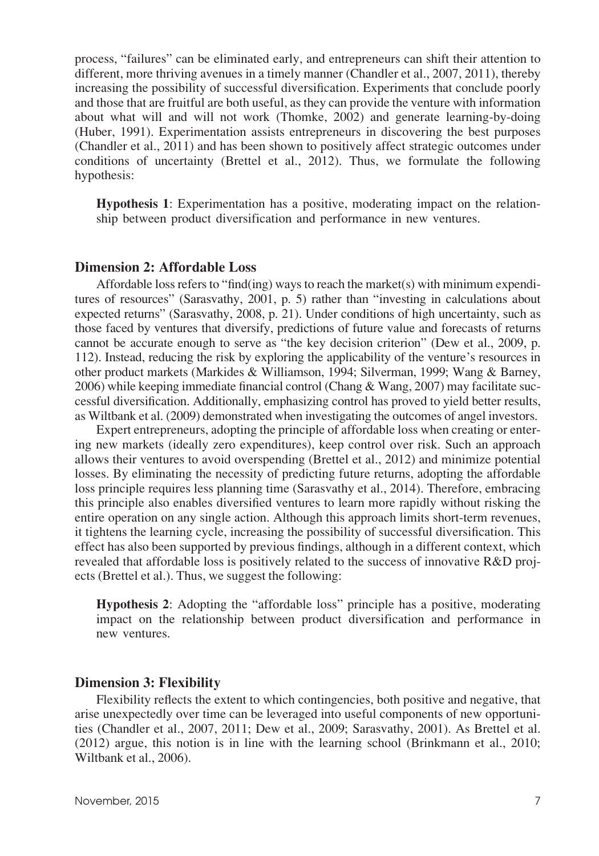process, "failures" can be eliminated early, and entrepreneurs can shift their attention to different, more thriving avenues in a timely manner (Chandler et al., 2007, 2011), thereby increasing the possibility of successful diversification. Experiments that conclude poorly and those that are fruitful are both useful, as they can provide the venture with information about what will and will not work (Thomke, 2002) and generate learning-by-doing (Huber, 1991). Experimentation assists entrepreneurs in discovering the best purposes (Chandler et al., 2011) and has been shown to positively affect strategic outcomes under conditions of uncertainty (Brettel et al., 2012). Thus, we formulate the following hypothesis:

Hypothesis 1: Experimentation has a positive, moderating impact on the relationship between product diversification and performance in new ventures.

#### Dimension 2: Affordable Loss

Affordable loss refers to "find(ing) ways to reach the market(s) with minimum expenditures of resources" (Sarasvathy, 2001, p. 5) rather than "investing in calculations about expected returns" (Sarasvathy, 2008, p. 21). Under conditions of high uncertainty, such as those faced by ventures that diversify, predictions of future value and forecasts of returns cannot be accurate enough to serve as "the key decision criterion" (Dew et al., 2009, p. 112). Instead, reducing the risk by exploring the applicability of the venture's resources in other product markets (Markides & Williamson, 1994; Silverman, 1999; Wang & Barney, 2006) while keeping immediate financial control (Chang & Wang, 2007) may facilitate successful diversification. Additionally, emphasizing control has proved to yield better results, as Wiltbank et al. (2009) demonstrated when investigating the outcomes of angel investors.

Expert entrepreneurs, adopting the principle of affordable loss when creating or entering new markets (ideally zero expenditures), keep control over risk. Such an approach allows their ventures to avoid overspending (Brettel et al., 2012) and minimize potential losses. By eliminating the necessity of predicting future returns, adopting the affordable loss principle requires less planning time (Sarasvathy et al., 2014). Therefore, embracing this principle also enables diversified ventures to learn more rapidly without risking the entire operation on any single action. Although this approach limits short-term revenues, it tightens the learning cycle, increasing the possibility of successful diversification. This effect has also been supported by previous findings, although in a different context, which revealed that affordable loss is positively related to the success of innovative R&D projects (Brettel et al.). Thus, we suggest the following:

Hypothesis 2: Adopting the "affordable loss" principle has a positive, moderating impact on the relationship between product diversification and performance in new ventures.

## Dimension 3: Flexibility

Flexibility reflects the extent to which contingencies, both positive and negative, that arise unexpectedly over time can be leveraged into useful components of new opportunities (Chandler et al., 2007, 2011; Dew et al., 2009; Sarasvathy, 2001). As Brettel et al. (2012) argue, this notion is in line with the learning school (Brinkmann et al., 2010; Wiltbank et al., 2006).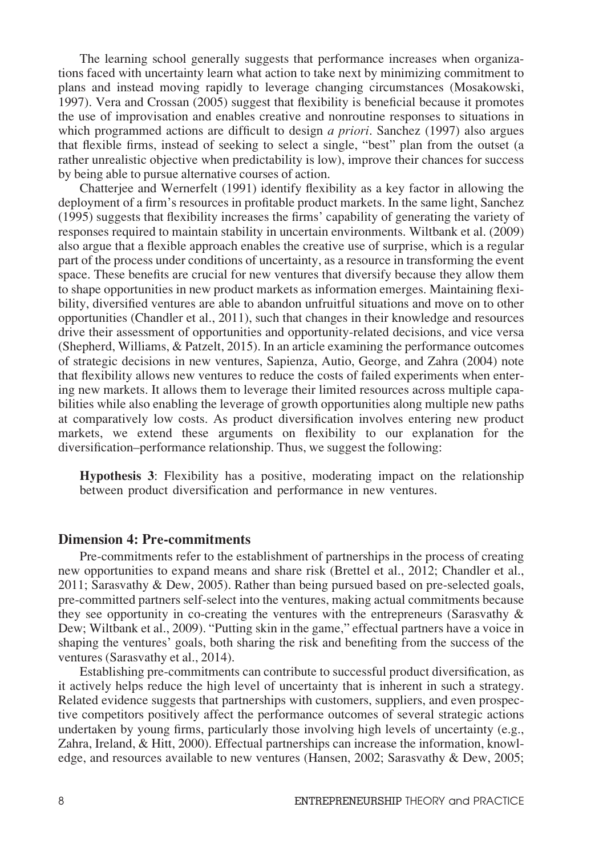The learning school generally suggests that performance increases when organizations faced with uncertainty learn what action to take next by minimizing commitment to plans and instead moving rapidly to leverage changing circumstances (Mosakowski, 1997). Vera and Crossan (2005) suggest that flexibility is beneficial because it promotes the use of improvisation and enables creative and nonroutine responses to situations in which programmed actions are difficult to design *a priori*. Sanchez (1997) also argues that flexible firms, instead of seeking to select a single, "best" plan from the outset (a rather unrealistic objective when predictability is low), improve their chances for success by being able to pursue alternative courses of action.

Chatterjee and Wernerfelt (1991) identify flexibility as a key factor in allowing the deployment of a firm's resources in profitable product markets. In the same light, Sanchez (1995) suggests that flexibility increases the firms' capability of generating the variety of responses required to maintain stability in uncertain environments. Wiltbank et al. (2009) also argue that a flexible approach enables the creative use of surprise, which is a regular part of the process under conditions of uncertainty, as a resource in transforming the event space. These benefits are crucial for new ventures that diversify because they allow them to shape opportunities in new product markets as information emerges. Maintaining flexibility, diversified ventures are able to abandon unfruitful situations and move on to other opportunities (Chandler et al., 2011), such that changes in their knowledge and resources drive their assessment of opportunities and opportunity-related decisions, and vice versa (Shepherd, Williams, & Patzelt, 2015). In an article examining the performance outcomes of strategic decisions in new ventures, Sapienza, Autio, George, and Zahra (2004) note that flexibility allows new ventures to reduce the costs of failed experiments when entering new markets. It allows them to leverage their limited resources across multiple capabilities while also enabling the leverage of growth opportunities along multiple new paths at comparatively low costs. As product diversification involves entering new product markets, we extend these arguments on flexibility to our explanation for the diversification–performance relationship. Thus, we suggest the following:

Hypothesis 3: Flexibility has a positive, moderating impact on the relationship between product diversification and performance in new ventures.

#### Dimension 4: Pre-commitments

Pre-commitments refer to the establishment of partnerships in the process of creating new opportunities to expand means and share risk (Brettel et al., 2012; Chandler et al., 2011; Sarasvathy & Dew, 2005). Rather than being pursued based on pre-selected goals, pre-committed partners self-select into the ventures, making actual commitments because they see opportunity in co-creating the ventures with the entrepreneurs (Sarasvathy  $\&$ Dew; Wiltbank et al., 2009). "Putting skin in the game," effectual partners have a voice in shaping the ventures' goals, both sharing the risk and benefiting from the success of the ventures (Sarasvathy et al., 2014).

Establishing pre-commitments can contribute to successful product diversification, as it actively helps reduce the high level of uncertainty that is inherent in such a strategy. Related evidence suggests that partnerships with customers, suppliers, and even prospective competitors positively affect the performance outcomes of several strategic actions undertaken by young firms, particularly those involving high levels of uncertainty (e.g., Zahra, Ireland, & Hitt, 2000). Effectual partnerships can increase the information, knowledge, and resources available to new ventures (Hansen, 2002; Sarasvathy & Dew, 2005;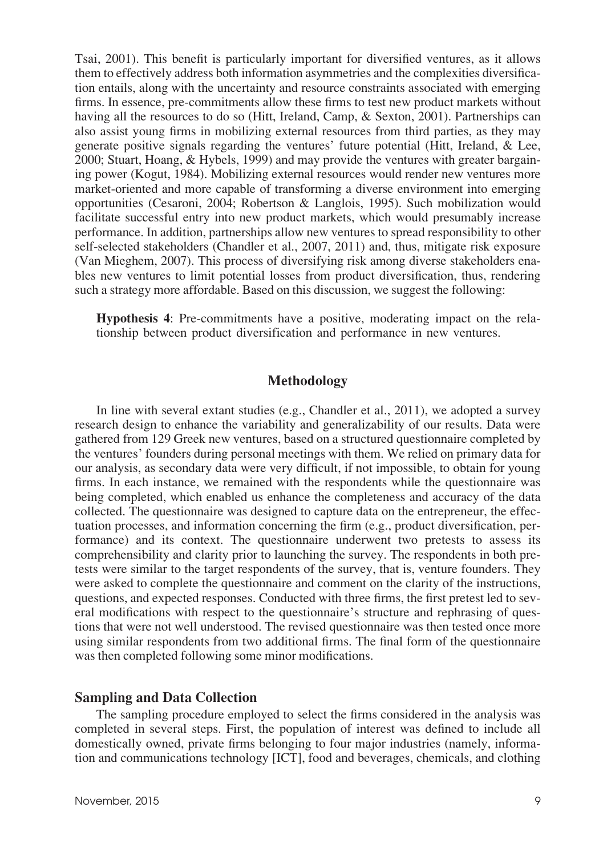Tsai, 2001). This benefit is particularly important for diversified ventures, as it allows them to effectively address both information asymmetries and the complexities diversification entails, along with the uncertainty and resource constraints associated with emerging firms. In essence, pre-commitments allow these firms to test new product markets without having all the resources to do so (Hitt, Ireland, Camp, & Sexton, 2001). Partnerships can also assist young firms in mobilizing external resources from third parties, as they may generate positive signals regarding the ventures' future potential (Hitt, Ireland, & Lee, 2000; Stuart, Hoang, & Hybels, 1999) and may provide the ventures with greater bargaining power (Kogut, 1984). Mobilizing external resources would render new ventures more market-oriented and more capable of transforming a diverse environment into emerging opportunities (Cesaroni, 2004; Robertson & Langlois, 1995). Such mobilization would facilitate successful entry into new product markets, which would presumably increase performance. In addition, partnerships allow new ventures to spread responsibility to other self-selected stakeholders (Chandler et al., 2007, 2011) and, thus, mitigate risk exposure (Van Mieghem, 2007). This process of diversifying risk among diverse stakeholders enables new ventures to limit potential losses from product diversification, thus, rendering such a strategy more affordable. Based on this discussion, we suggest the following:

Hypothesis 4: Pre-commitments have a positive, moderating impact on the relationship between product diversification and performance in new ventures.

# Methodology

In line with several extant studies (e.g., Chandler et al., 2011), we adopted a survey research design to enhance the variability and generalizability of our results. Data were gathered from 129 Greek new ventures, based on a structured questionnaire completed by the ventures' founders during personal meetings with them. We relied on primary data for our analysis, as secondary data were very difficult, if not impossible, to obtain for young firms. In each instance, we remained with the respondents while the questionnaire was being completed, which enabled us enhance the completeness and accuracy of the data collected. The questionnaire was designed to capture data on the entrepreneur, the effectuation processes, and information concerning the firm (e.g., product diversification, performance) and its context. The questionnaire underwent two pretests to assess its comprehensibility and clarity prior to launching the survey. The respondents in both pretests were similar to the target respondents of the survey, that is, venture founders. They were asked to complete the questionnaire and comment on the clarity of the instructions, questions, and expected responses. Conducted with three firms, the first pretest led to several modifications with respect to the questionnaire's structure and rephrasing of questions that were not well understood. The revised questionnaire was then tested once more using similar respondents from two additional firms. The final form of the questionnaire was then completed following some minor modifications.

#### Sampling and Data Collection

The sampling procedure employed to select the firms considered in the analysis was completed in several steps. First, the population of interest was defined to include all domestically owned, private firms belonging to four major industries (namely, information and communications technology [ICT], food and beverages, chemicals, and clothing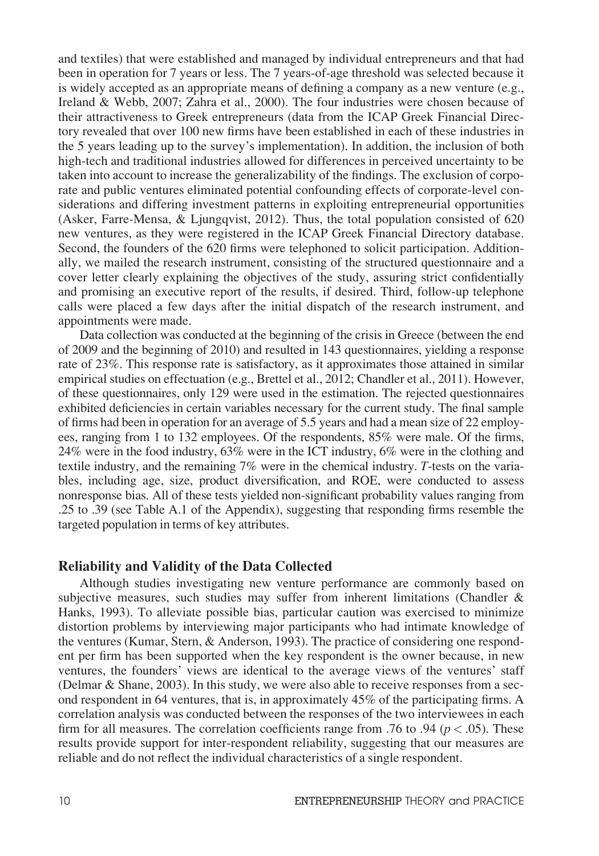and textiles) that were established and managed by individual entrepreneurs and that had been in operation for 7 years or less. The 7 years-of-age threshold was selected because it is widely accepted as an appropriate means of defining a company as a new venture (e.g., Ireland & Webb, 2007; Zahra et al., 2000). The four industries were chosen because of their attractiveness to Greek entrepreneurs (data from the ICAP Greek Financial Directory revealed that over 100 new firms have been established in each of these industries in the 5 years leading up to the survey's implementation). In addition, the inclusion of both high-tech and traditional industries allowed for differences in perceived uncertainty to be taken into account to increase the generalizability of the findings. The exclusion of corporate and public ventures eliminated potential confounding effects of corporate-level considerations and differing investment patterns in exploiting entrepreneurial opportunities (Asker, Farre-Mensa, & Ljungqvist, 2012). Thus, the total population consisted of 620 new ventures, as they were registered in the ICAP Greek Financial Directory database. Second, the founders of the 620 firms were telephoned to solicit participation. Additionally, we mailed the research instrument, consisting of the structured questionnaire and a cover letter clearly explaining the objectives of the study, assuring strict confidentially and promising an executive report of the results, if desired. Third, follow-up telephone calls were placed a few days after the initial dispatch of the research instrument, and appointments were made.

Data collection was conducted at the beginning of the crisis in Greece (between the end of 2009 and the beginning of 2010) and resulted in 143 questionnaires, yielding a response rate of 23%. This response rate is satisfactory, as it approximates those attained in similar empirical studies on effectuation (e.g., Brettel et al., 2012; Chandler et al., 2011). However, of these questionnaires, only 129 were used in the estimation. The rejected questionnaires exhibited deficiencies in certain variables necessary for the current study. The final sample of firms had been in operation for an average of 5.5 years and had a mean size of 22 employees, ranging from 1 to 132 employees. Of the respondents, 85% were male. Of the firms, 24% were in the food industry, 63% were in the ICT industry, 6% were in the clothing and textile industry, and the remaining 7% were in the chemical industry. T-tests on the variables, including age, size, product diversification, and ROE, were conducted to assess nonresponse bias. All of these tests yielded non-significant probability values ranging from .25 to .39 (see Table A.1 of the Appendix), suggesting that responding firms resemble the targeted population in terms of key attributes.

#### Reliability and Validity of the Data Collected

Although studies investigating new venture performance are commonly based on subjective measures, such studies may suffer from inherent limitations (Chandler  $\&$ Hanks, 1993). To alleviate possible bias, particular caution was exercised to minimize distortion problems by interviewing major participants who had intimate knowledge of the ventures (Kumar, Stern, & Anderson, 1993). The practice of considering one respondent per firm has been supported when the key respondent is the owner because, in new ventures, the founders' views are identical to the average views of the ventures' staff (Delmar & Shane, 2003). In this study, we were also able to receive responses from a second respondent in 64 ventures, that is, in approximately 45% of the participating firms. A correlation analysis was conducted between the responses of the two interviewees in each firm for all measures. The correlation coefficients range from .76 to .94 ( $p < .05$ ). These results provide support for inter-respondent reliability, suggesting that our measures are reliable and do not reflect the individual characteristics of a single respondent.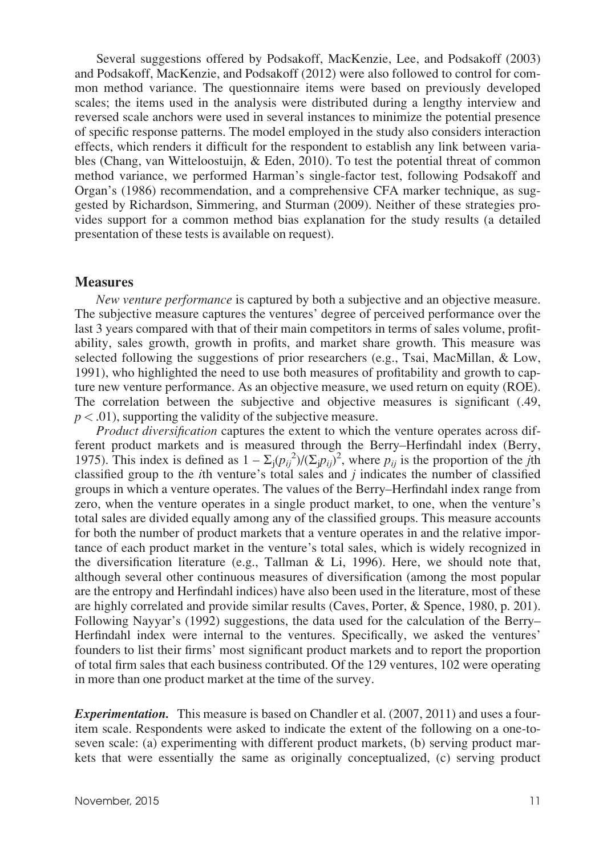Several suggestions offered by Podsakoff, MacKenzie, Lee, and Podsakoff (2003) and Podsakoff, MacKenzie, and Podsakoff (2012) were also followed to control for common method variance. The questionnaire items were based on previously developed scales; the items used in the analysis were distributed during a lengthy interview and reversed scale anchors were used in several instances to minimize the potential presence of specific response patterns. The model employed in the study also considers interaction effects, which renders it difficult for the respondent to establish any link between variables (Chang, van Witteloostuijn, & Eden, 2010). To test the potential threat of common method variance, we performed Harman's single-factor test, following Podsakoff and Organ's (1986) recommendation, and a comprehensive CFA marker technique, as suggested by Richardson, Simmering, and Sturman (2009). Neither of these strategies provides support for a common method bias explanation for the study results (a detailed presentation of these tests is available on request).

#### **Measures**

New venture performance is captured by both a subjective and an objective measure. The subjective measure captures the ventures' degree of perceived performance over the last 3 years compared with that of their main competitors in terms of sales volume, profitability, sales growth, growth in profits, and market share growth. This measure was selected following the suggestions of prior researchers (e.g., Tsai, MacMillan, & Low, 1991), who highlighted the need to use both measures of profitability and growth to capture new venture performance. As an objective measure, we used return on equity (ROE). The correlation between the subjective and objective measures is significant (.49,  $p < .01$ ), supporting the validity of the subjective measure.

Product diversification captures the extent to which the venture operates across different product markets and is measured through the Berry–Herfindahl index (Berry, 1975). This index is defined as  $1 - \Sigma_j (p_{ij}^2) / (\Sigma_j p_{ij})^2$ , where  $p_{ij}$  is the proportion of the *j*th classified group to the  $i$ th venture's total sales and  $j$  indicates the number of classified groups in which a venture operates. The values of the Berry–Herfindahl index range from zero, when the venture operates in a single product market, to one, when the venture's total sales are divided equally among any of the classified groups. This measure accounts for both the number of product markets that a venture operates in and the relative importance of each product market in the venture's total sales, which is widely recognized in the diversification literature (e.g., Tallman & Li, 1996). Here, we should note that, although several other continuous measures of diversification (among the most popular are the entropy and Herfindahl indices) have also been used in the literature, most of these are highly correlated and provide similar results (Caves, Porter, & Spence, 1980, p. 201). Following Nayyar's (1992) suggestions, the data used for the calculation of the Berry– Herfindahl index were internal to the ventures. Specifically, we asked the ventures' founders to list their firms' most significant product markets and to report the proportion of total firm sales that each business contributed. Of the 129 ventures, 102 were operating in more than one product market at the time of the survey.

**Experimentation.** This measure is based on Chandler et al. (2007, 2011) and uses a fouritem scale. Respondents were asked to indicate the extent of the following on a one-toseven scale: (a) experimenting with different product markets, (b) serving product markets that were essentially the same as originally conceptualized, (c) serving product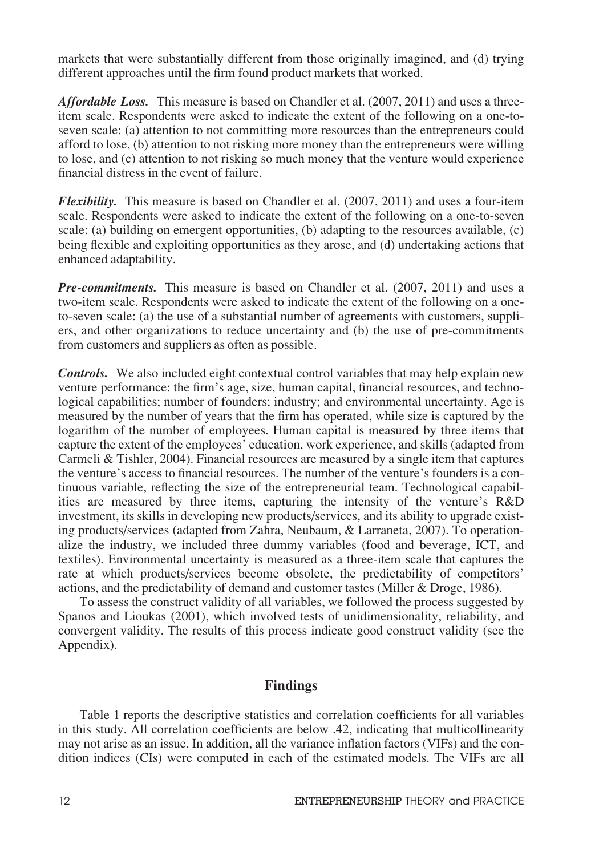markets that were substantially different from those originally imagined, and (d) trying different approaches until the firm found product markets that worked.

Affordable Loss. This measure is based on Chandler et al. (2007, 2011) and uses a threeitem scale. Respondents were asked to indicate the extent of the following on a one-toseven scale: (a) attention to not committing more resources than the entrepreneurs could afford to lose, (b) attention to not risking more money than the entrepreneurs were willing to lose, and (c) attention to not risking so much money that the venture would experience financial distress in the event of failure.

**Flexibility.** This measure is based on Chandler et al. (2007, 2011) and uses a four-item scale. Respondents were asked to indicate the extent of the following on a one-to-seven scale: (a) building on emergent opportunities, (b) adapting to the resources available, (c) being flexible and exploiting opportunities as they arose, and (d) undertaking actions that enhanced adaptability.

**Pre-commitments.** This measure is based on Chandler et al. (2007, 2011) and uses a two-item scale. Respondents were asked to indicate the extent of the following on a oneto-seven scale: (a) the use of a substantial number of agreements with customers, suppliers, and other organizations to reduce uncertainty and (b) the use of pre-commitments from customers and suppliers as often as possible.

**Controls.** We also included eight contextual control variables that may help explain new venture performance: the firm's age, size, human capital, financial resources, and technological capabilities; number of founders; industry; and environmental uncertainty. Age is measured by the number of years that the firm has operated, while size is captured by the logarithm of the number of employees. Human capital is measured by three items that capture the extent of the employees' education, work experience, and skills (adapted from Carmeli & Tishler, 2004). Financial resources are measured by a single item that captures the venture's access to financial resources. The number of the venture's founders is a continuous variable, reflecting the size of the entrepreneurial team. Technological capabilities are measured by three items, capturing the intensity of the venture's R&D investment, its skills in developing new products/services, and its ability to upgrade existing products/services (adapted from Zahra, Neubaum, & Larraneta, 2007). To operationalize the industry, we included three dummy variables (food and beverage, ICT, and textiles). Environmental uncertainty is measured as a three-item scale that captures the rate at which products/services become obsolete, the predictability of competitors' actions, and the predictability of demand and customer tastes (Miller & Droge, 1986).

To assess the construct validity of all variables, we followed the process suggested by Spanos and Lioukas (2001), which involved tests of unidimensionality, reliability, and convergent validity. The results of this process indicate good construct validity (see the Appendix).

#### Findings

Table 1 reports the descriptive statistics and correlation coefficients for all variables in this study. All correlation coefficients are below .42, indicating that multicollinearity may not arise as an issue. In addition, all the variance inflation factors (VIFs) and the condition indices (CIs) were computed in each of the estimated models. The VIFs are all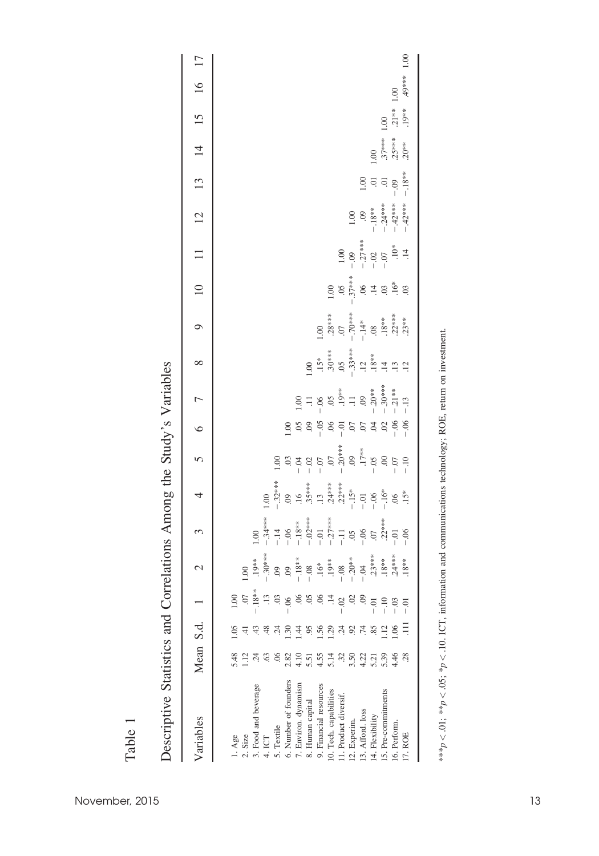| Variables              | Mean S.d.      |               |                     | $\mathcal{C}$ | 3                                                                                                                                            | 4                                                              | $\sqrt{ }$                            | $\circ$                        | $\overline{1}$                                                                                          | $\infty$                                                     | $\circ$                                                | 10                 | $\frac{1}{1}$     | 12                                   | $\tilde{1}$      | $\overline{4}$       | $15 \text{ }$      | 16      | 17   |
|------------------------|----------------|---------------|---------------------|---------------|----------------------------------------------------------------------------------------------------------------------------------------------|----------------------------------------------------------------|---------------------------------------|--------------------------------|---------------------------------------------------------------------------------------------------------|--------------------------------------------------------------|--------------------------------------------------------|--------------------|-------------------|--------------------------------------|------------------|----------------------|--------------------|---------|------|
|                        |                |               |                     |               |                                                                                                                                              |                                                                |                                       |                                |                                                                                                         |                                                              |                                                        |                    |                   |                                      |                  |                      |                    |         |      |
| l. Age                 | 5.48           |               | 60                  |               |                                                                                                                                              |                                                                |                                       |                                |                                                                                                         |                                                              |                                                        |                    |                   |                                      |                  |                      |                    |         |      |
| $2.$ Size              | $\frac{12}{1}$ |               | S.                  | 1.00          |                                                                                                                                              |                                                                |                                       |                                |                                                                                                         |                                                              |                                                        |                    |                   |                                      |                  |                      |                    |         |      |
| 3. Food and beverage   | 24             |               | $.18**$             |               | $\overline{0}$                                                                                                                               |                                                                |                                       |                                |                                                                                                         |                                                              |                                                        |                    |                   |                                      |                  |                      |                    |         |      |
| 4. ICT                 | 63             | $\frac{8}{4}$ | $\overline{13}$     |               | $-.34***$                                                                                                                                    | 00.1                                                           |                                       |                                |                                                                                                         |                                                              |                                                        |                    |                   |                                      |                  |                      |                    |         |      |
| 5. Textile             | 06             | Ģ             | $\ddot{\mathrm{c}}$ |               | $-14$<br>$-18$<br>$-18$<br>$-12$<br>$-12$<br>$-12$<br>$-17$<br>$-11$<br>$-16$<br>$-16$<br>$-16$<br>$-16$<br>$-16$<br>$-16$<br>$-16$<br>$-16$ |                                                                | 1.00                                  |                                |                                                                                                         |                                                              |                                                        |                    |                   |                                      |                  |                      |                    |         |      |
| 6. Number of founders  | 2.82           | $\ddot{30}$   | $-0.06$             |               |                                                                                                                                              | $-32***$<br>$.09$<br>$.16$                                     |                                       | 0.1                            |                                                                                                         |                                                              |                                                        |                    |                   |                                      |                  |                      |                    |         |      |
| 7. Environ. dynamism   | 4.10           | 44            |                     |               |                                                                                                                                              |                                                                | $33400$<br>$-3250$<br>$-150$<br>$-50$ |                                | 00.1                                                                                                    |                                                              |                                                        |                    |                   |                                      |                  |                      |                    |         |      |
| 8. Human capital       | 5.51           | 95            | CO.                 |               |                                                                                                                                              |                                                                |                                       | $58990$<br>$-18990$<br>$-1890$ |                                                                                                         | $\frac{1}{2}$                                                |                                                        |                    |                   |                                      |                  |                      |                    |         |      |
| 9. Financial resources | 4.55           | .56           | S.                  |               |                                                                                                                                              |                                                                |                                       |                                |                                                                                                         |                                                              | 00.1                                                   |                    |                   |                                      |                  |                      |                    |         |      |
| 10. Tech. capabilities | 5.14           | 1.29          | $\ddot{=}$          |               |                                                                                                                                              |                                                                |                                       |                                |                                                                                                         |                                                              |                                                        | 1.00               |                   |                                      |                  |                      |                    |         |      |
| 11. Product diversif.  | 32             | $\ddot{c}$    | $-02$               |               |                                                                                                                                              | $.35***$<br>$.13$<br>$.24***$<br>$.22***$<br>$-.15*$<br>$-.01$ | $-20***$<br>$-17***$<br>$-15***$      |                                |                                                                                                         | $15**$<br>$30***$<br>$-33***$<br>$-33***$<br>$12$<br>$18***$ | $.28***$                                               |                    | 1.00              |                                      |                  |                      |                    |         |      |
| 12. Experim.           | 3.50           | 92            | S                   |               |                                                                                                                                              |                                                                |                                       | $\overline{c}$                 |                                                                                                         |                                                              |                                                        | $\frac{05}{37***}$ |                   | $1.00\,$                             |                  |                      |                    |         |      |
| 13. Afford. loss       | 4.22           |               | $\ddot{\text{e}}$   |               |                                                                                                                                              |                                                                |                                       | $\overline{c}$                 |                                                                                                         |                                                              |                                                        |                    |                   |                                      | 0.001            |                      |                    |         |      |
| 14. Flexibility        | 5.21           | 85            | ō                   |               |                                                                                                                                              |                                                                |                                       | $\widetilde{\mathcal{S}}$      | $-11$<br>$-06$<br>$05$<br>$-19$<br>$-19$<br>$-19$<br>$-30$<br>$-30$<br>$-30$<br>$-30$<br>$-15$<br>$-18$ |                                                              | $-70***$<br>$-14*$<br>$-18***$<br>$-18***$<br>$-22***$ |                    | $-09$<br>$-27***$ | $-18***$<br>$-24*****$<br>$-42*****$ | $\overline{0}$ . | $\frac{1}{2}$        |                    |         |      |
| 15. Pre-commitments    | 5.39           | $\ddot{5}$    | $-10$               |               |                                                                                                                                              | $-16*$                                                         | $\odot$                               | $\overline{\mathcal{O}}$       |                                                                                                         | $\overline{4}$                                               |                                                        | $\overline{0}$     |                   |                                      | $\Xi$            |                      | 0.00               |         |      |
| 16. Perform            | 4.46           | 0.06          | $-0.3$              |               | $-0.$                                                                                                                                        | $\overline{0}$                                                 | $\overline{C}$ .                      | $-0.06$                        |                                                                                                         | $\ddot{13}$                                                  |                                                        | $.16*$             | $\frac{10*}{14}$  |                                      | $-0.09$          | $.37***$<br>$.25***$ | $.21**$<br>$.19**$ | 0.00    |      |
| 17. ROE                | 28             | Ξ             |                     | $.18***$      | $-0.06$                                                                                                                                      | $.15*$                                                         | $\overline{0}$ .                      | $-06$                          | $-13$                                                                                                   | $\overline{a}$                                               |                                                        | $\overline{0}$     |                   |                                      | $-.18**$         | $20**$               |                    | $49***$ | 1.00 |
|                        |                |               |                     |               |                                                                                                                                              |                                                                |                                       |                                |                                                                                                         |                                                              |                                                        |                    |                   |                                      |                  |                      |                    |         |      |

Descriptive Statistics and Correlations Among the Study's Variables Descriptive Statistics and Correlations Among the Study's Variables

\*\*\*p < .01; \*\*p < .05; \*p < .10. ICT, information and communications technology; ROE, return on investment. \*\*\*p < .01; \*\*p < .05; \*p < .10. ICT, information and communications technology; ROE, return on investment.

Table 1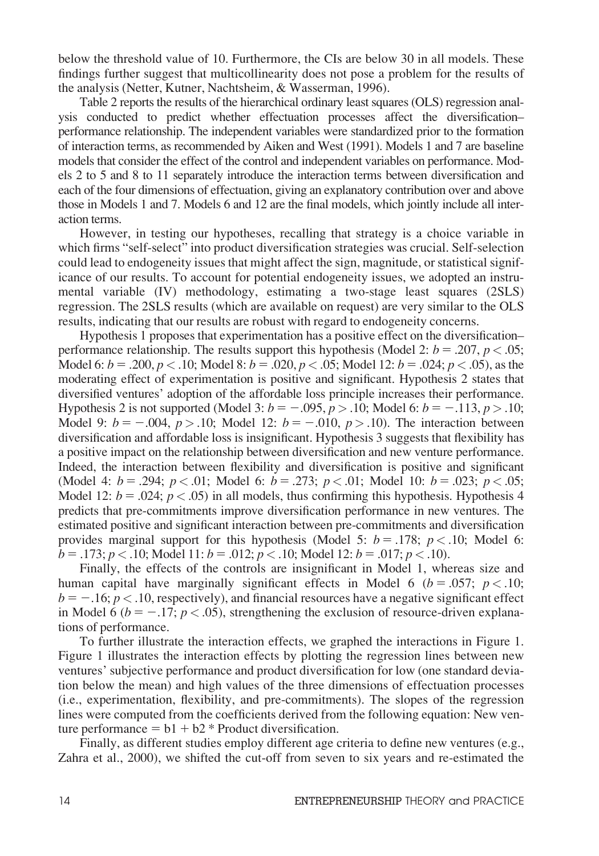below the threshold value of 10. Furthermore, the CIs are below 30 in all models. These findings further suggest that multicollinearity does not pose a problem for the results of the analysis (Netter, Kutner, Nachtsheim, & Wasserman, 1996).

Table 2 reports the results of the hierarchical ordinary least squares (OLS) regression analysis conducted to predict whether effectuation processes affect the diversification– performance relationship. The independent variables were standardized prior to the formation of interaction terms, as recommended by Aiken and West (1991). Models 1 and 7 are baseline models that consider the effect of the control and independent variables on performance. Models 2 to 5 and 8 to 11 separately introduce the interaction terms between diversification and each of the four dimensions of effectuation, giving an explanatory contribution over and above those in Models 1 and 7. Models 6 and 12 are the final models, which jointly include all interaction terms.

However, in testing our hypotheses, recalling that strategy is a choice variable in which firms "self-select" into product diversification strategies was crucial. Self-selection could lead to endogeneity issues that might affect the sign, magnitude, or statistical significance of our results. To account for potential endogeneity issues, we adopted an instrumental variable (IV) methodology, estimating a two-stage least squares (2SLS) regression. The 2SLS results (which are available on request) are very similar to the OLS results, indicating that our results are robust with regard to endogeneity concerns.

Hypothesis 1 proposes that experimentation has a positive effect on the diversification– performance relationship. The results support this hypothesis (Model 2:  $b = .207$ ,  $p < .05$ ; Model 6:  $b = .200$ ,  $p < .10$ ; Model 8:  $b = .020$ ,  $p < .05$ ; Model 12:  $b = .024$ ;  $p < .05$ ), as the moderating effect of experimentation is positive and significant. Hypothesis 2 states that diversified ventures' adoption of the affordable loss principle increases their performance. Hypothesis 2 is not supported (Model 3:  $b = -.095, p > .10$ ; Model 6:  $b = -.113, p > .10$ ; Model 9:  $b = -.004$ ,  $p > .10$ ; Model 12:  $b = -.010$ ,  $p > .10$ ). The interaction between diversification and affordable loss is insignificant. Hypothesis 3 suggests that flexibility has a positive impact on the relationship between diversification and new venture performance. Indeed, the interaction between flexibility and diversification is positive and significant (Model 4:  $b = .294$ ;  $p < .01$ ; Model 6:  $b = .273$ ;  $p < .01$ ; Model 10:  $b = .023$ ;  $p < .05$ ; Model 12:  $b = .024$ ;  $p < .05$ ) in all models, thus confirming this hypothesis. Hypothesis 4 predicts that pre-commitments improve diversification performance in new ventures. The estimated positive and significant interaction between pre-commitments and diversification provides marginal support for this hypothesis (Model 5:  $b = .178$ ;  $p < .10$ ; Model 6:  $b = .173$ ;  $p < .10$ ; Model 11:  $b = .012$ ;  $p < .10$ ; Model 12:  $b = .017$ ;  $p < .10$ ).

Finally, the effects of the controls are insignificant in Model 1, whereas size and human capital have marginally significant effects in Model 6 ( $b = .057$ ;  $p < .10$ ;  $b = -1.16$ ;  $p < 0.10$ , respectively), and financial resources have a negative significant effect in Model 6 ( $b = -.17$ ;  $p < .05$ ), strengthening the exclusion of resource-driven explanations of performance.

To further illustrate the interaction effects, we graphed the interactions in Figure 1. Figure 1 illustrates the interaction effects by plotting the regression lines between new ventures' subjective performance and product diversification for low (one standard deviation below the mean) and high values of the three dimensions of effectuation processes (i.e., experimentation, flexibility, and pre-commitments). The slopes of the regression lines were computed from the coefficients derived from the following equation: New venture performance  $= b1 + b2 *$  Product diversification.

Finally, as different studies employ different age criteria to define new ventures (e.g., Zahra et al., 2000), we shifted the cut-off from seven to six years and re-estimated the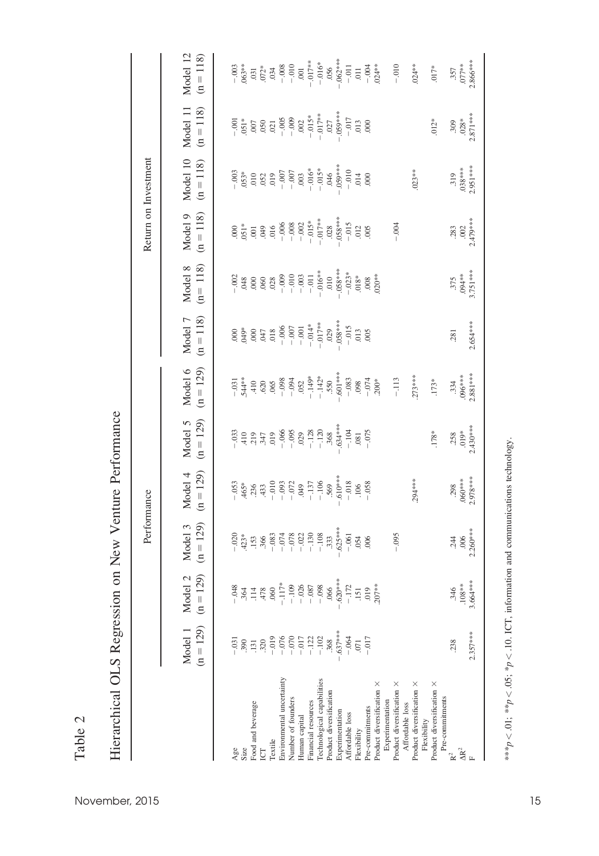|                                              |                                                                                                                                                                                                                                                                                                                                                  |                                                                                                                                                                                                                                                                                 | Performance                |                                                                                                                                                                                                                                                                                                                                                |                        |                                                                                                                                                                                                                                                                                                                                                 |                        |                         |                                                                          | Return on Investment                                 |                                                                                           |                                                                          |
|----------------------------------------------|--------------------------------------------------------------------------------------------------------------------------------------------------------------------------------------------------------------------------------------------------------------------------------------------------------------------------------------------------|---------------------------------------------------------------------------------------------------------------------------------------------------------------------------------------------------------------------------------------------------------------------------------|----------------------------|------------------------------------------------------------------------------------------------------------------------------------------------------------------------------------------------------------------------------------------------------------------------------------------------------------------------------------------------|------------------------|-------------------------------------------------------------------------------------------------------------------------------------------------------------------------------------------------------------------------------------------------------------------------------------------------------------------------------------------------|------------------------|-------------------------|--------------------------------------------------------------------------|------------------------------------------------------|-------------------------------------------------------------------------------------------|--------------------------------------------------------------------------|
|                                              | $(n = 129)$<br>Model 1                                                                                                                                                                                                                                                                                                                           | $\widehat{\infty}$<br>$\mathcal{C}$<br>$(n = 12)$<br>Model                                                                                                                                                                                                                      | $(n = 129)$<br>Model 3     | $(n = 129)$<br>Model 4                                                                                                                                                                                                                                                                                                                         | $(n = 129)$<br>Model 5 | $(n = 129)$<br>Model 6                                                                                                                                                                                                                                                                                                                          | $(n = 118)$<br>Model 7 | $(n=118)$<br>Model 8    | $(n = 118)$<br>Model 9                                                   | Model 10<br>$(n = 118)$                              | $(n = 118)$<br>Model 11                                                                   | Model 12<br>$(n = 118)$                                                  |
|                                              |                                                                                                                                                                                                                                                                                                                                                  |                                                                                                                                                                                                                                                                                 |                            |                                                                                                                                                                                                                                                                                                                                                |                        |                                                                                                                                                                                                                                                                                                                                                 |                        |                         |                                                                          |                                                      |                                                                                           |                                                                          |
| $A$ ge                                       |                                                                                                                                                                                                                                                                                                                                                  |                                                                                                                                                                                                                                                                                 | $-0.020$                   |                                                                                                                                                                                                                                                                                                                                                |                        | $-.031$                                                                                                                                                                                                                                                                                                                                         | 6500                   |                         |                                                                          |                                                      |                                                                                           | $-0.003$<br>$0.03***$                                                    |
| ood and beverage<br>size                     | $\begin{array}{c} 390 \\ 131 \\ 320 \\ -1010 \\ -1010 \\ -1011 \\ -1012 \\ -1021 \\ -1021 \\ -1021 \\ -1021 \\ -1021 \\ -1021 \\ -1021 \\ -1021 \\ -1021 \\ -1021 \\ -1021 \\ -1021 \\ -1021 \\ -1021 \\ -1021 \\ -1021 \\ -1021 \\ -1021 \\ -1021 \\ -1021 \\ -1021 \\ -1021 \\ -1021 \\ -1021 \\ -1021 \\ -1021 \\ -1021 \\ -1021 \\ -1021 \\$ | $-0.48$<br>36.0 - 11.1<br>36.0 - 11.1<br>36.0 - 11.1<br>- 10.2<br>37.0 - 12.0<br>- 10.2<br>- 10.2<br>- 10.2<br>- 10.2<br>- 10.2<br>- 10.2<br>- 10.2<br>- 10.2<br>- 10.2<br>- 10.2<br>- 10.2<br>- 10.2<br>- 10.2<br>- 10.2<br>- 10.2<br>- 10.2<br>- 10.2<br>- 10.2<br>- 10.2<br> | $.423*$                    | $\begin{array}{r} -0.53 \\ +4.65^* \\ +3.85^* \\ -0.010 \\ -0.033 \\ -0.024 \\ -1.37 \\ -1.049 \\ -1.05 \\ -1.06 \\ -1.07 \\ -1.06 \\ -1.07 \\ -1.06 \\ -1.06 \\ -1.07 \\ -1.07 \\ -1.08 \\ -1.07 \\ -1.08 \\ -1.07 \\ -1.08 \\ -1.07 \\ -1.08 \\ -1.07 \\ -1.08 \\ -1.07 \\ -1.08 \\ -1.09 \\ -1.09 \\ -1.00 \\ -1.00 \\ -1.00 \\ -1.00 \\ -$ | $\frac{10}{12}$        | $544**$                                                                                                                                                                                                                                                                                                                                         |                        |                         | $3000$<br>$-3000$<br>$-3000$<br>$-3000$<br>$-3000$<br>$-3000$<br>$-3000$ |                                                      | $\begin{array}{c} .651* \\ .607 \\ .050 \\ .021 \\ -0.05 \\ -0.03 \\ 0.02 \\ \end{array}$ |                                                                          |
|                                              |                                                                                                                                                                                                                                                                                                                                                  |                                                                                                                                                                                                                                                                                 |                            |                                                                                                                                                                                                                                                                                                                                                |                        | $\begin{array}{r} 410 \\ 620 \\ -0.08 \\ -0.05 \\ -0.04 \\ -0.04 \\ -1.49 \\ -1.49 \\ -1.49 \\ -1.49 \\ -1.49 \\ -1.49 \\ -1.49 \\ -1.49 \\ -1.49 \\ -1.49 \\ -1.49 \\ -1.49 \\ -1.49 \\ -1.49 \\ -1.49 \\ -1.49 \\ -1.49 \\ -1.49 \\ -1.49 \\ -1.49 \\ -1.49 \\ -1.49 \\ -1.49 \\ -1.49 \\ -1.49 \\ -1.49 \\ -1.49 \\ -1.49 \\ -1.49 \\ -1.49$ |                        |                         |                                                                          |                                                      |                                                                                           | $\begin{array}{c} 031 \\ 037 \\ 034 \\ -008 \\ -010 \\ 0.01 \end{array}$ |
| <b>Textile</b>                               |                                                                                                                                                                                                                                                                                                                                                  |                                                                                                                                                                                                                                                                                 | $.366 - .083$              |                                                                                                                                                                                                                                                                                                                                                | .019                   |                                                                                                                                                                                                                                                                                                                                                 |                        |                         |                                                                          |                                                      |                                                                                           |                                                                          |
| Environmental uncertainty                    |                                                                                                                                                                                                                                                                                                                                                  |                                                                                                                                                                                                                                                                                 | $-074$                     |                                                                                                                                                                                                                                                                                                                                                | $-066$<br>$-095$       |                                                                                                                                                                                                                                                                                                                                                 |                        |                         |                                                                          | $-0.007$<br>700. –                                   |                                                                                           |                                                                          |
| Number of founders                           |                                                                                                                                                                                                                                                                                                                                                  |                                                                                                                                                                                                                                                                                 | $-078$<br>$-022$<br>$-130$ |                                                                                                                                                                                                                                                                                                                                                |                        |                                                                                                                                                                                                                                                                                                                                                 |                        | $-0.00$<br>$-0.003$     |                                                                          |                                                      |                                                                                           |                                                                          |
| Human capital                                |                                                                                                                                                                                                                                                                                                                                                  |                                                                                                                                                                                                                                                                                 |                            |                                                                                                                                                                                                                                                                                                                                                | $-128$<br>-128         |                                                                                                                                                                                                                                                                                                                                                 |                        |                         |                                                                          |                                                      |                                                                                           |                                                                          |
| Financial resources                          |                                                                                                                                                                                                                                                                                                                                                  |                                                                                                                                                                                                                                                                                 |                            |                                                                                                                                                                                                                                                                                                                                                |                        |                                                                                                                                                                                                                                                                                                                                                 |                        | $-0.011$<br>$-0.016***$ |                                                                          |                                                      |                                                                                           | $-017**$                                                                 |
| Technological capabilities                   |                                                                                                                                                                                                                                                                                                                                                  | $-0.08$                                                                                                                                                                                                                                                                         | $-108$                     |                                                                                                                                                                                                                                                                                                                                                |                        | $-142*$                                                                                                                                                                                                                                                                                                                                         | $-017**$               |                         | $-0.017**$                                                               | $-0.16$ <sup>*</sup><br>$-0.15$ <sup>*</sup><br>0.46 | $-0.015*$<br>$-0.17**$<br>$0.027$                                                         | $-0.016$ *                                                               |
| Product diversification                      | .368                                                                                                                                                                                                                                                                                                                                             | .066                                                                                                                                                                                                                                                                            | .333                       |                                                                                                                                                                                                                                                                                                                                                | .368                   |                                                                                                                                                                                                                                                                                                                                                 | .029                   | $010$                   | .028                                                                     |                                                      |                                                                                           |                                                                          |
| Experimentation                              | $.637***$                                                                                                                                                                                                                                                                                                                                        | $.620***$                                                                                                                                                                                                                                                                       | $.625***$                  | $.610***$                                                                                                                                                                                                                                                                                                                                      | $.634***$              | $-601***$                                                                                                                                                                                                                                                                                                                                       | $0.68***$              | $0.68***$               | $28*8*80$                                                                | $059***$                                             | $.059***$                                                                                 | $.062***$                                                                |
| Affordable loss                              | $-064$<br>071                                                                                                                                                                                                                                                                                                                                    |                                                                                                                                                                                                                                                                                 | $-.061$                    | $-0.18$<br>.106                                                                                                                                                                                                                                                                                                                                | $-104$                 | $-0.83$                                                                                                                                                                                                                                                                                                                                         | $-015$<br>013          | $-.023*$                | $-015$<br>012                                                            | $-010$<br>014                                        |                                                                                           | $-0.011$                                                                 |
| Flexibility                                  |                                                                                                                                                                                                                                                                                                                                                  | $-172$<br>$.151$<br>$.019$                                                                                                                                                                                                                                                      | .054                       |                                                                                                                                                                                                                                                                                                                                                | $.081\,$               | $+0.0 - 0.074$                                                                                                                                                                                                                                                                                                                                  |                        |                         |                                                                          |                                                      | $-0.17$<br>0.03<br>0.00                                                                   | $\overline{011}$                                                         |
| Pre-commitments                              | $-0.017$                                                                                                                                                                                                                                                                                                                                         |                                                                                                                                                                                                                                                                                 | .006                       | $-0.58$                                                                                                                                                                                                                                                                                                                                        | $-075$                 |                                                                                                                                                                                                                                                                                                                                                 | .005                   |                         | .005                                                                     | 000                                                  |                                                                                           | $-0.004$<br>$0.24**$                                                     |
| Product diversification X<br>Experimentation |                                                                                                                                                                                                                                                                                                                                                  | $207**$                                                                                                                                                                                                                                                                         |                            |                                                                                                                                                                                                                                                                                                                                                |                        | $200*$                                                                                                                                                                                                                                                                                                                                          |                        | $.020**$                |                                                                          |                                                      |                                                                                           |                                                                          |
| Product diversification X<br>Affordable loss |                                                                                                                                                                                                                                                                                                                                                  |                                                                                                                                                                                                                                                                                 | $-0.095$                   |                                                                                                                                                                                                                                                                                                                                                |                        | $-.113$                                                                                                                                                                                                                                                                                                                                         |                        |                         | $-0.004$                                                                 |                                                      |                                                                                           | $-0.010$                                                                 |
| Product diversification ×                    |                                                                                                                                                                                                                                                                                                                                                  |                                                                                                                                                                                                                                                                                 |                            | 294 ***                                                                                                                                                                                                                                                                                                                                        |                        | $.273***$                                                                                                                                                                                                                                                                                                                                       |                        |                         |                                                                          | $.023**$                                             |                                                                                           | $.024**$                                                                 |
| Flexibility                                  |                                                                                                                                                                                                                                                                                                                                                  |                                                                                                                                                                                                                                                                                 |                            |                                                                                                                                                                                                                                                                                                                                                |                        |                                                                                                                                                                                                                                                                                                                                                 |                        |                         |                                                                          |                                                      |                                                                                           |                                                                          |
| Product diversification ×<br>Pre-commitments |                                                                                                                                                                                                                                                                                                                                                  |                                                                                                                                                                                                                                                                                 |                            |                                                                                                                                                                                                                                                                                                                                                | .178*                  | $.173*$                                                                                                                                                                                                                                                                                                                                         |                        |                         |                                                                          |                                                      | $.012*$                                                                                   | $.017*$                                                                  |
|                                              | .238                                                                                                                                                                                                                                                                                                                                             | .346                                                                                                                                                                                                                                                                            | 244                        | .298                                                                                                                                                                                                                                                                                                                                           | .258                   | .334                                                                                                                                                                                                                                                                                                                                            | .281                   | 375                     | .283                                                                     | .319                                                 | .309                                                                                      | .357                                                                     |
| $\Delta R^2$                                 |                                                                                                                                                                                                                                                                                                                                                  | $.108**$                                                                                                                                                                                                                                                                        | .006                       | $.060***$                                                                                                                                                                                                                                                                                                                                      | $.019*$                | ****000.                                                                                                                                                                                                                                                                                                                                        |                        | $.94**$                 | .002                                                                     | $0.38***$                                            | $.028*$                                                                                   | $.077**$                                                                 |
|                                              | $2.357***$                                                                                                                                                                                                                                                                                                                                       | $3.664***$                                                                                                                                                                                                                                                                      | $2.260***$                 | $2.978***$                                                                                                                                                                                                                                                                                                                                     | $2.430***$             | $2.881***$                                                                                                                                                                                                                                                                                                                                      | 2.654***               | 3.751***                | $2.479***$                                                               | $2.951***$                                           | $2.871***$                                                                                | 2.866***                                                                 |
|                                              |                                                                                                                                                                                                                                                                                                                                                  |                                                                                                                                                                                                                                                                                 |                            |                                                                                                                                                                                                                                                                                                                                                |                        |                                                                                                                                                                                                                                                                                                                                                 |                        |                         |                                                                          |                                                      |                                                                                           |                                                                          |

Hierarchical OLS Regression on New Venture Performance Hierarchical OLS Regression on New Venture Performance

\*\*\* $p < .01$ ; \*\* $p < .05$ ; \* $p < .10$ . ICT, information and communications technology. \*\* $p < 0.01$ ; \*\* $p < 0.05$ ; \* $p < 1.0$ . ICT, information and communications technology.

Table 2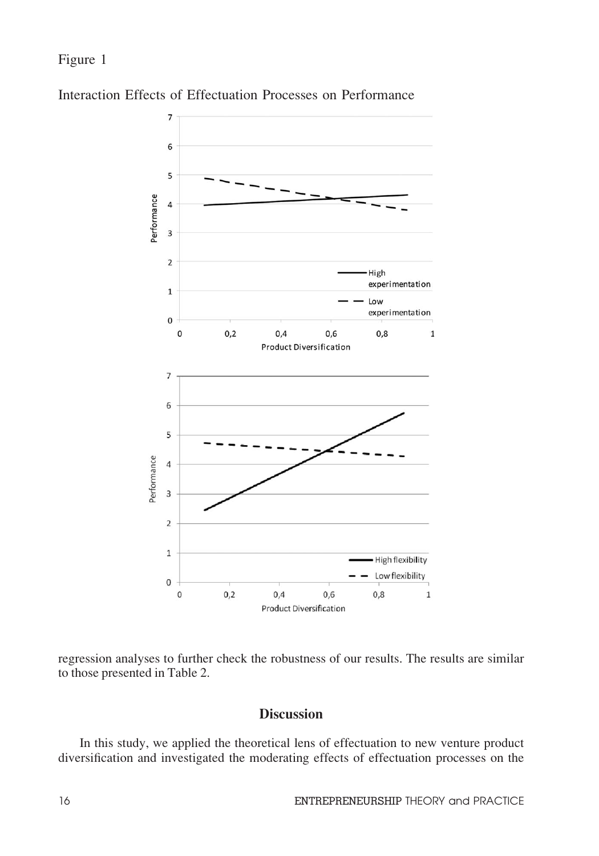Figure 1



Interaction Effects of Effectuation Processes on Performance

regression analyses to further check the robustness of our results. The results are similar to those presented in Table 2.

# Discussion

In this study, we applied the theoretical lens of effectuation to new venture product diversification and investigated the moderating effects of effectuation processes on the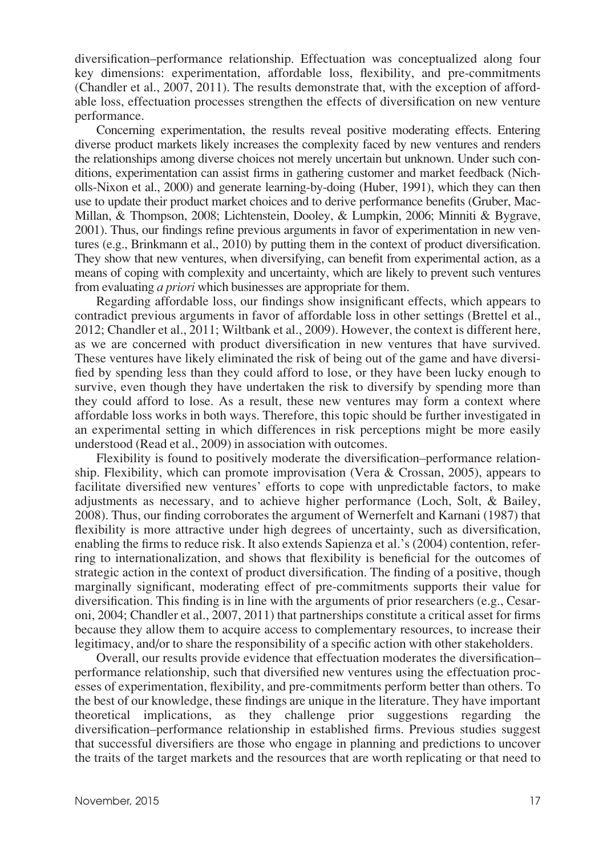diversification–performance relationship. Effectuation was conceptualized along four key dimensions: experimentation, affordable loss, flexibility, and pre-commitments (Chandler et al., 2007, 2011). The results demonstrate that, with the exception of affordable loss, effectuation processes strengthen the effects of diversification on new venture performance.

Concerning experimentation, the results reveal positive moderating effects. Entering diverse product markets likely increases the complexity faced by new ventures and renders the relationships among diverse choices not merely uncertain but unknown. Under such conditions, experimentation can assist firms in gathering customer and market feedback (Nicholls-Nixon et al., 2000) and generate learning-by-doing (Huber, 1991), which they can then use to update their product market choices and to derive performance benefits (Gruber, Mac-Millan, & Thompson, 2008; Lichtenstein, Dooley, & Lumpkin, 2006; Minniti & Bygrave, 2001). Thus, our findings refine previous arguments in favor of experimentation in new ventures (e.g., Brinkmann et al., 2010) by putting them in the context of product diversification. They show that new ventures, when diversifying, can benefit from experimental action, as a means of coping with complexity and uncertainty, which are likely to prevent such ventures from evaluating a priori which businesses are appropriate for them.

Regarding affordable loss, our findings show insignificant effects, which appears to contradict previous arguments in favor of affordable loss in other settings (Brettel et al., 2012; Chandler et al., 2011; Wiltbank et al., 2009). However, the context is different here, as we are concerned with product diversification in new ventures that have survived. These ventures have likely eliminated the risk of being out of the game and have diversified by spending less than they could afford to lose, or they have been lucky enough to survive, even though they have undertaken the risk to diversify by spending more than they could afford to lose. As a result, these new ventures may form a context where affordable loss works in both ways. Therefore, this topic should be further investigated in an experimental setting in which differences in risk perceptions might be more easily understood (Read et al., 2009) in association with outcomes.

Flexibility is found to positively moderate the diversification–performance relationship. Flexibility, which can promote improvisation (Vera & Crossan, 2005), appears to facilitate diversified new ventures' efforts to cope with unpredictable factors, to make adjustments as necessary, and to achieve higher performance (Loch, Solt, & Bailey, 2008). Thus, our finding corroborates the argument of Wernerfelt and Karnani (1987) that flexibility is more attractive under high degrees of uncertainty, such as diversification, enabling the firms to reduce risk. It also extends Sapienza et al.'s (2004) contention, referring to internationalization, and shows that flexibility is beneficial for the outcomes of strategic action in the context of product diversification. The finding of a positive, though marginally significant, moderating effect of pre-commitments supports their value for diversification. This finding is in line with the arguments of prior researchers (e.g., Cesaroni, 2004; Chandler et al., 2007, 2011) that partnerships constitute a critical asset for firms because they allow them to acquire access to complementary resources, to increase their legitimacy, and/or to share the responsibility of a specific action with other stakeholders.

Overall, our results provide evidence that effectuation moderates the diversification– performance relationship, such that diversified new ventures using the effectuation processes of experimentation, flexibility, and pre-commitments perform better than others. To the best of our knowledge, these findings are unique in the literature. They have important theoretical implications, as they challenge prior suggestions regarding the diversification–performance relationship in established firms. Previous studies suggest that successful diversifiers are those who engage in planning and predictions to uncover the traits of the target markets and the resources that are worth replicating or that need to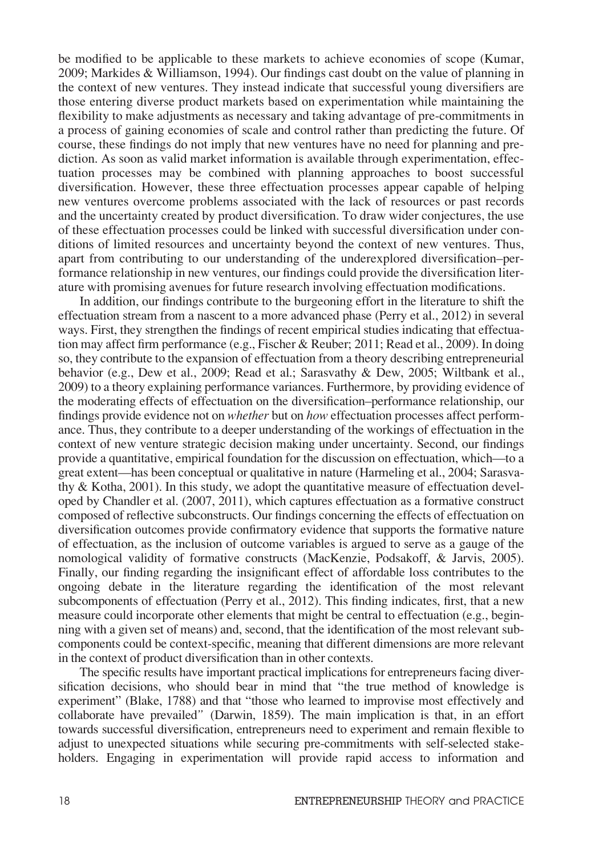be modified to be applicable to these markets to achieve economies of scope (Kumar, 2009; Markides & Williamson, 1994). Our findings cast doubt on the value of planning in the context of new ventures. They instead indicate that successful young diversifiers are those entering diverse product markets based on experimentation while maintaining the flexibility to make adjustments as necessary and taking advantage of pre-commitments in a process of gaining economies of scale and control rather than predicting the future. Of course, these findings do not imply that new ventures have no need for planning and prediction. As soon as valid market information is available through experimentation, effectuation processes may be combined with planning approaches to boost successful diversification. However, these three effectuation processes appear capable of helping new ventures overcome problems associated with the lack of resources or past records and the uncertainty created by product diversification. To draw wider conjectures, the use of these effectuation processes could be linked with successful diversification under conditions of limited resources and uncertainty beyond the context of new ventures. Thus, apart from contributing to our understanding of the underexplored diversification–performance relationship in new ventures, our findings could provide the diversification literature with promising avenues for future research involving effectuation modifications.

In addition, our findings contribute to the burgeoning effort in the literature to shift the effectuation stream from a nascent to a more advanced phase (Perry et al., 2012) in several ways. First, they strengthen the findings of recent empirical studies indicating that effectuation may affect firm performance (e.g., Fischer & Reuber; 2011; Read et al., 2009). In doing so, they contribute to the expansion of effectuation from a theory describing entrepreneurial behavior (e.g., Dew et al., 2009; Read et al.; Sarasvathy & Dew, 2005; Wiltbank et al., 2009) to a theory explaining performance variances. Furthermore, by providing evidence of the moderating effects of effectuation on the diversification–performance relationship, our findings provide evidence not on whether but on how effectuation processes affect performance. Thus, they contribute to a deeper understanding of the workings of effectuation in the context of new venture strategic decision making under uncertainty. Second, our findings provide a quantitative, empirical foundation for the discussion on effectuation, which—to a great extent—has been conceptual or qualitative in nature (Harmeling et al., 2004; Sarasvathy & Kotha, 2001). In this study, we adopt the quantitative measure of effectuation developed by Chandler et al. (2007, 2011), which captures effectuation as a formative construct composed of reflective subconstructs. Our findings concerning the effects of effectuation on diversification outcomes provide confirmatory evidence that supports the formative nature of effectuation, as the inclusion of outcome variables is argued to serve as a gauge of the nomological validity of formative constructs (MacKenzie, Podsakoff, & Jarvis, 2005). Finally, our finding regarding the insignificant effect of affordable loss contributes to the ongoing debate in the literature regarding the identification of the most relevant subcomponents of effectuation (Perry et al., 2012). This finding indicates, first, that a new measure could incorporate other elements that might be central to effectuation (e.g., beginning with a given set of means) and, second, that the identification of the most relevant subcomponents could be context-specific, meaning that different dimensions are more relevant in the context of product diversification than in other contexts.

The specific results have important practical implications for entrepreneurs facing diversification decisions, who should bear in mind that "the true method of knowledge is experiment" (Blake, 1788) and that "those who learned to improvise most effectively and collaborate have prevailed" (Darwin, 1859). The main implication is that, in an effort towards successful diversification, entrepreneurs need to experiment and remain flexible to adjust to unexpected situations while securing pre-commitments with self-selected stakeholders. Engaging in experimentation will provide rapid access to information and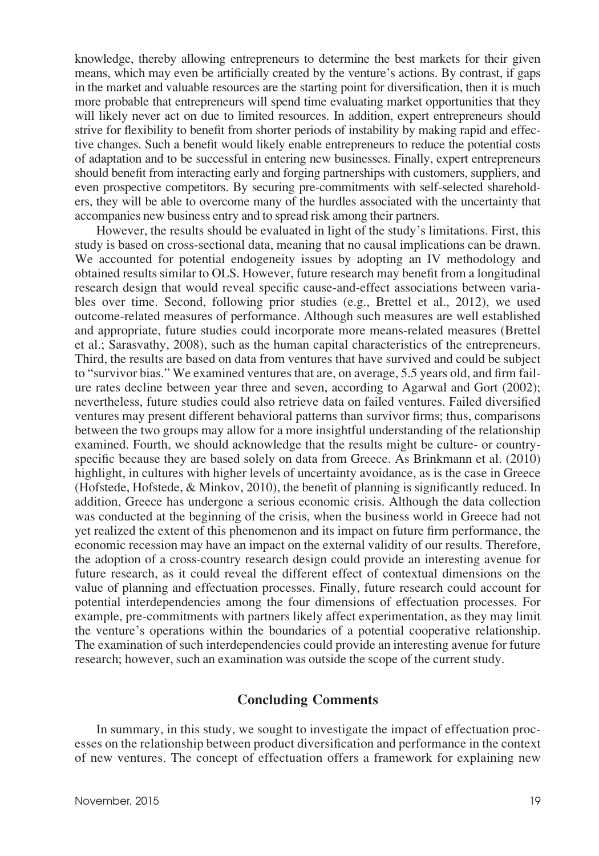knowledge, thereby allowing entrepreneurs to determine the best markets for their given means, which may even be artificially created by the venture's actions. By contrast, if gaps in the market and valuable resources are the starting point for diversification, then it is much more probable that entrepreneurs will spend time evaluating market opportunities that they will likely never act on due to limited resources. In addition, expert entrepreneurs should strive for flexibility to benefit from shorter periods of instability by making rapid and effective changes. Such a benefit would likely enable entrepreneurs to reduce the potential costs of adaptation and to be successful in entering new businesses. Finally, expert entrepreneurs should benefit from interacting early and forging partnerships with customers, suppliers, and even prospective competitors. By securing pre-commitments with self-selected shareholders, they will be able to overcome many of the hurdles associated with the uncertainty that accompanies new business entry and to spread risk among their partners.

However, the results should be evaluated in light of the study's limitations. First, this study is based on cross-sectional data, meaning that no causal implications can be drawn. We accounted for potential endogeneity issues by adopting an IV methodology and obtained results similar to OLS. However, future research may benefit from a longitudinal research design that would reveal specific cause-and-effect associations between variables over time. Second, following prior studies (e.g., Brettel et al., 2012), we used outcome-related measures of performance. Although such measures are well established and appropriate, future studies could incorporate more means-related measures (Brettel et al.; Sarasvathy, 2008), such as the human capital characteristics of the entrepreneurs. Third, the results are based on data from ventures that have survived and could be subject to "survivor bias." We examined ventures that are, on average, 5.5 years old, and firm failure rates decline between year three and seven, according to Agarwal and Gort (2002); nevertheless, future studies could also retrieve data on failed ventures. Failed diversified ventures may present different behavioral patterns than survivor firms; thus, comparisons between the two groups may allow for a more insightful understanding of the relationship examined. Fourth, we should acknowledge that the results might be culture- or countryspecific because they are based solely on data from Greece. As Brinkmann et al. (2010) highlight, in cultures with higher levels of uncertainty avoidance, as is the case in Greece (Hofstede, Hofstede, & Minkov, 2010), the benefit of planning is significantly reduced. In addition, Greece has undergone a serious economic crisis. Although the data collection was conducted at the beginning of the crisis, when the business world in Greece had not yet realized the extent of this phenomenon and its impact on future firm performance, the economic recession may have an impact on the external validity of our results. Therefore, the adoption of a cross-country research design could provide an interesting avenue for future research, as it could reveal the different effect of contextual dimensions on the value of planning and effectuation processes. Finally, future research could account for potential interdependencies among the four dimensions of effectuation processes. For example, pre-commitments with partners likely affect experimentation, as they may limit the venture's operations within the boundaries of a potential cooperative relationship. The examination of such interdependencies could provide an interesting avenue for future research; however, such an examination was outside the scope of the current study.

#### Concluding Comments

In summary, in this study, we sought to investigate the impact of effectuation processes on the relationship between product diversification and performance in the context of new ventures. The concept of effectuation offers a framework for explaining new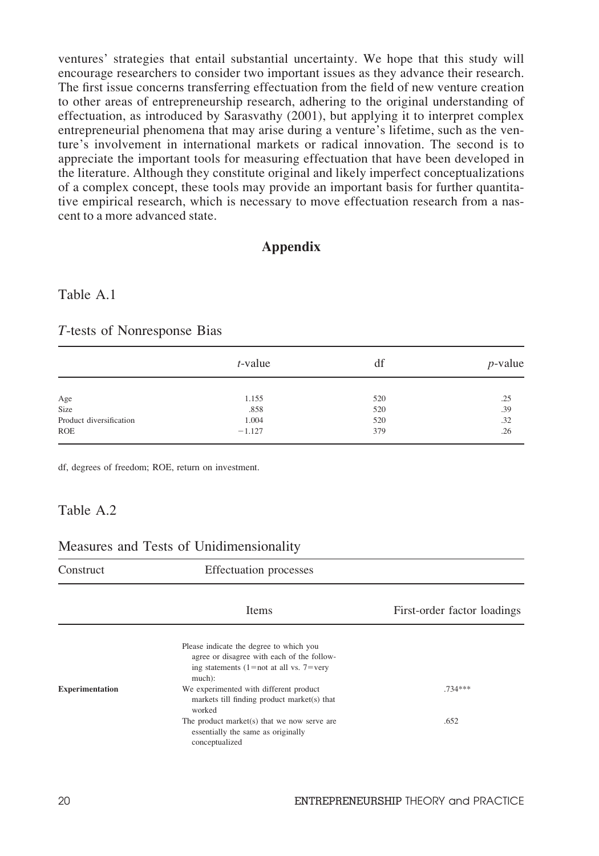ventures' strategies that entail substantial uncertainty. We hope that this study will encourage researchers to consider two important issues as they advance their research. The first issue concerns transferring effectuation from the field of new venture creation to other areas of entrepreneurship research, adhering to the original understanding of effectuation, as introduced by Sarasvathy (2001), but applying it to interpret complex entrepreneurial phenomena that may arise during a venture's lifetime, such as the venture's involvement in international markets or radical innovation. The second is to appreciate the important tools for measuring effectuation that have been developed in the literature. Although they constitute original and likely imperfect conceptualizations of a complex concept, these tools may provide an important basis for further quantitative empirical research, which is necessary to move effectuation research from a nascent to a more advanced state.

# Appendix

# Table A.1

#### T-tests of Nonresponse Bias

|                         | $t$ -value | df  | $p$ -value |
|-------------------------|------------|-----|------------|
|                         |            |     |            |
| Age                     | 1.155      | 520 | .25        |
| Size                    | .858       | 520 | .39        |
| Product diversification | 1.004      | 520 | .32        |
| <b>ROE</b>              | $-1.127$   | 379 | .26        |

df, degrees of freedom; ROE, return on investment.

#### Table A.2

#### Measures and Tests of Unidimensionality

| Construct              | <b>Effectuation</b> processes                                                                                                              |                             |
|------------------------|--------------------------------------------------------------------------------------------------------------------------------------------|-----------------------------|
|                        | <b>Items</b>                                                                                                                               | First-order factor loadings |
|                        | Please indicate the degree to which you<br>agree or disagree with each of the follow-<br>ing statements (1=not at all vs. 7=very<br>much): |                             |
| <b>Experimentation</b> | We experimented with different product<br>markets till finding product market(s) that<br>worked                                            | $.734***$                   |
|                        | The product market $(s)$ that we now serve are<br>essentially the same as originally<br>conceptualized                                     | .652                        |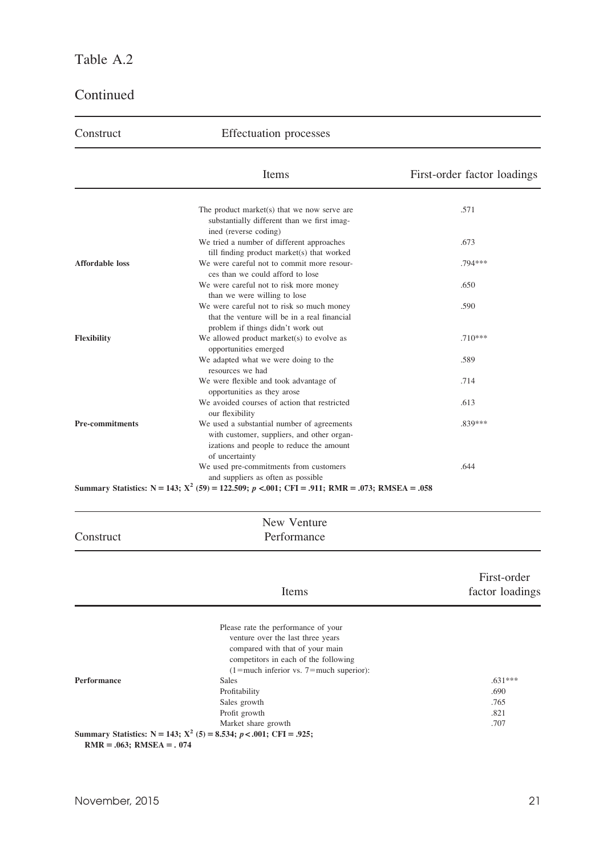# Table A.2

# Continued

| Construct                     | <b>Effectuation</b> processes                                                                                                                                                                       |                                |
|-------------------------------|-----------------------------------------------------------------------------------------------------------------------------------------------------------------------------------------------------|--------------------------------|
|                               | Items                                                                                                                                                                                               | First-order factor loadings    |
|                               | The product market $(s)$ that we now serve are<br>substantially different than we first imag-                                                                                                       | .571                           |
|                               | ined (reverse coding)<br>We tried a number of different approaches                                                                                                                                  | .673                           |
| <b>Affordable loss</b>        | till finding product market(s) that worked<br>We were careful not to commit more resour-<br>ces than we could afford to lose                                                                        | .794***                        |
|                               | We were careful not to risk more money<br>than we were willing to lose                                                                                                                              | .650                           |
|                               | We were careful not to risk so much money<br>that the venture will be in a real financial<br>problem if things didn't work out                                                                      | .590                           |
| Flexibility                   | We allowed product market(s) to evolve as<br>opportunities emerged                                                                                                                                  | $.710***$                      |
|                               | We adapted what we were doing to the<br>resources we had                                                                                                                                            | .589                           |
|                               | We were flexible and took advantage of<br>opportunities as they arose                                                                                                                               | .714                           |
|                               | We avoided courses of action that restricted<br>our flexibility                                                                                                                                     | .613                           |
| <b>Pre-commitments</b>        | We used a substantial number of agreements<br>with customer, suppliers, and other organ-<br>izations and people to reduce the amount<br>of uncertainty                                              | .839***                        |
|                               | We used pre-commitments from customers<br>and suppliers as often as possible<br>Summary Statistics: N = 143; $X^2$ (59) = 122.509; p <.001; CFI = .911; RMR = .073; RMSEA = .058                    | .644                           |
|                               | New Venture                                                                                                                                                                                         |                                |
| Construct                     | Performance                                                                                                                                                                                         |                                |
|                               | Items                                                                                                                                                                                               | First-order<br>factor loadings |
|                               |                                                                                                                                                                                                     |                                |
|                               | Please rate the performance of your<br>venture over the last three years<br>compared with that of your main<br>competitors in each of the following<br>$(1 = much inferior vs. 7 = much superior):$ |                                |
| Performance                   | Sales<br>Profitability<br>Sales growth                                                                                                                                                              | $.631***$<br>.690<br>.765      |
|                               | Profit growth<br>Market share growth                                                                                                                                                                | .821<br>.707                   |
| $RMR = .063$ ; $RMSEA = .074$ | Summary Statistics: $N = 143$ ; $X^2$ (5) = 8.534; $p < .001$ ; CFI = .925;                                                                                                                         |                                |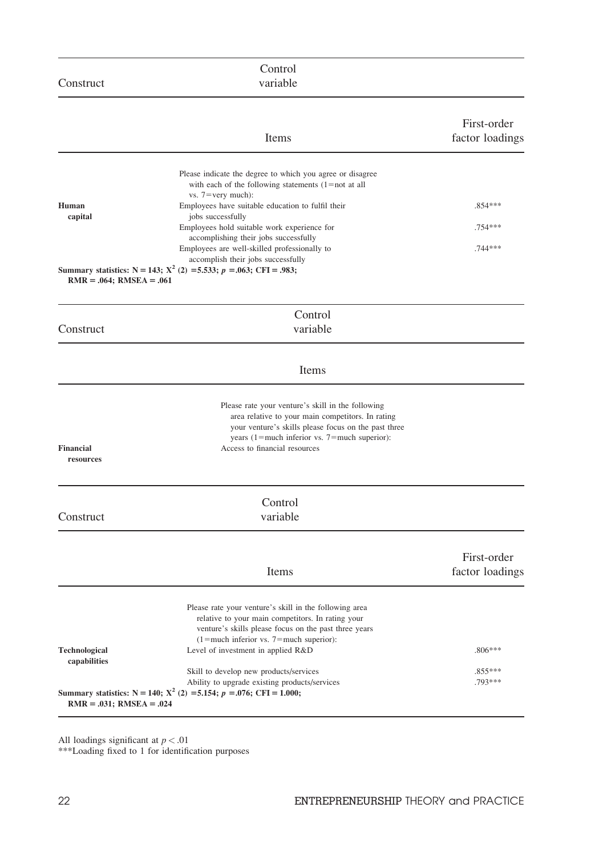|                               | Control                                                                                                                                                                                                                                                                                                                                                                                                                               |                                   |
|-------------------------------|---------------------------------------------------------------------------------------------------------------------------------------------------------------------------------------------------------------------------------------------------------------------------------------------------------------------------------------------------------------------------------------------------------------------------------------|-----------------------------------|
| Construct                     | variable                                                                                                                                                                                                                                                                                                                                                                                                                              |                                   |
|                               | Items                                                                                                                                                                                                                                                                                                                                                                                                                                 | First-order<br>factor loadings    |
| Human<br>capital              | Please indicate the degree to which you agree or disagree<br>with each of the following statements $(1 = not at all$<br>vs. $7 = \text{very much}$ :<br>Employees have suitable education to fulfil their<br>jobs successfully<br>Employees hold suitable work experience for<br>accomplishing their jobs successfully<br>Employees are well-skilled professionally to<br>accomplish their jobs successfully                          | $.854***$<br>$.754***$<br>.744*** |
| $RMR = .064$ ; $RMSEA = .061$ | Summary statistics: $N = 143$ ; $X^2$ (2) = 5.533; $p = .063$ ; CFI = .983;                                                                                                                                                                                                                                                                                                                                                           |                                   |
| Construct                     | Control<br>variable                                                                                                                                                                                                                                                                                                                                                                                                                   |                                   |
|                               | Items                                                                                                                                                                                                                                                                                                                                                                                                                                 |                                   |
| <b>Financial</b><br>resources | Please rate your venture's skill in the following<br>area relative to your main competitors. In rating<br>your venture's skills please focus on the past three<br>years $(1)$ = much inferior vs. 7 = much superior):<br>Access to financial resources                                                                                                                                                                                |                                   |
| Construct                     | Control<br>variable                                                                                                                                                                                                                                                                                                                                                                                                                   |                                   |
|                               | Items                                                                                                                                                                                                                                                                                                                                                                                                                                 | First-order<br>factor loadings    |
| Technological<br>capabilities | Please rate your venture's skill in the following area<br>relative to your main competitors. In rating your<br>venture's skills please focus on the past three years<br>$(1 = much inferior vs. 7 = much superior):$<br>Level of investment in applied R&D<br>Skill to develop new products/services<br>Ability to upgrade existing products/services<br>Summary statistics: $N = 140$ ; $X^2$ (2) = 5.154; $p = .076$ ; CFI = 1.000; | $.806***$<br>.855***<br>$.793***$ |
| $RMR = .031$ ; RMSEA = .024   |                                                                                                                                                                                                                                                                                                                                                                                                                                       |                                   |

All loadings significant at  $p < .01$ 

\*\*\*Loading fixed to 1 for identification purposes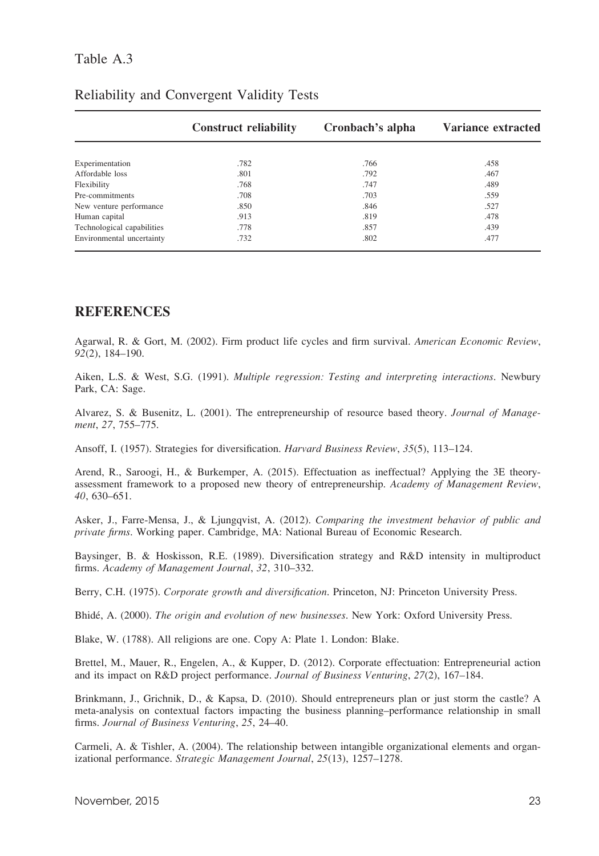# Table A.3

|                            | <b>Construct reliability</b> | Cronbach's alpha | Variance extracted |
|----------------------------|------------------------------|------------------|--------------------|
|                            |                              |                  |                    |
| Experimentation            | .782                         | .766             | .458               |
| Affordable loss            | .801                         | .792             | .467               |
| Flexibility                | .768                         | .747             | .489               |
| Pre-commitments            | .708                         | .703             | .559               |
| New venture performance    | .850                         | .846             | .527               |
| Human capital              | .913                         | .819             | .478               |
| Technological capabilities | .778                         | .857             | .439               |
| Environmental uncertainty  | .732                         | .802             | .477               |

# Reliability and Convergent Validity Tests

# **REFERENCES**

Agarwal, R. & Gort, M. (2002). Firm product life cycles and firm survival. American Economic Review, 92(2), 184–190.

Aiken, L.S. & West, S.G. (1991). Multiple regression: Testing and interpreting interactions. Newbury Park, CA: Sage.

Alvarez, S. & Busenitz, L. (2001). The entrepreneurship of resource based theory. Journal of Management, 27, 755–775.

Ansoff, I. (1957). Strategies for diversification. Harvard Business Review, 35(5), 113–124.

Arend, R., Saroogi, H., & Burkemper, A. (2015). Effectuation as ineffectual? Applying the 3E theoryassessment framework to a proposed new theory of entrepreneurship. Academy of Management Review, 40, 630–651.

Asker, J., Farre-Mensa, J., & Ljungqvist, A. (2012). Comparing the investment behavior of public and private firms. Working paper. Cambridge, MA: National Bureau of Economic Research.

Baysinger, B. & Hoskisson, R.E. (1989). Diversification strategy and R&D intensity in multiproduct firms. Academy of Management Journal, 32, 310–332.

Berry, C.H. (1975). Corporate growth and diversification. Princeton, NJ: Princeton University Press.

Bhidé, A. (2000). The origin and evolution of new businesses. New York: Oxford University Press.

Blake, W. (1788). All religions are one. Copy A: Plate 1. London: Blake.

Brettel, M., Mauer, R., Engelen, A., & Kupper, D. (2012). Corporate effectuation: Entrepreneurial action and its impact on R&D project performance. Journal of Business Venturing, 27(2), 167–184.

Brinkmann, J., Grichnik, D., & Kapsa, D. (2010). Should entrepreneurs plan or just storm the castle? A meta-analysis on contextual factors impacting the business planning–performance relationship in small firms. Journal of Business Venturing, 25, 24–40.

Carmeli, A. & Tishler, A. (2004). The relationship between intangible organizational elements and organizational performance. Strategic Management Journal, 25(13), 1257–1278.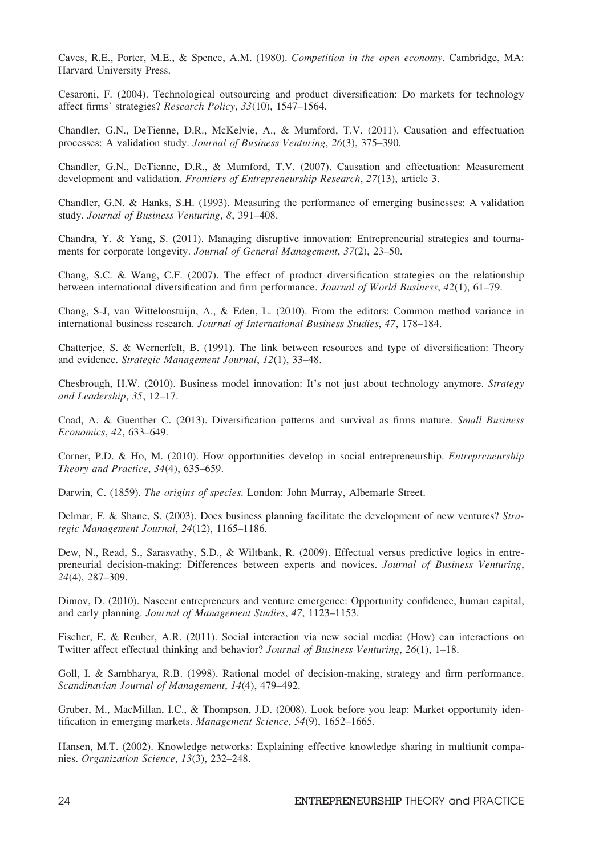Caves, R.E., Porter, M.E., & Spence, A.M. (1980). Competition in the open economy. Cambridge, MA: Harvard University Press.

Cesaroni, F. (2004). Technological outsourcing and product diversification: Do markets for technology affect firms' strategies? Research Policy, 33(10), 1547–1564.

Chandler, G.N., DeTienne, D.R., McKelvie, A., & Mumford, T.V. (2011). Causation and effectuation processes: A validation study. Journal of Business Venturing, 26(3), 375–390.

Chandler, G.N., DeTienne, D.R., & Mumford, T.V. (2007). Causation and effectuation: Measurement development and validation. Frontiers of Entrepreneurship Research, 27(13), article 3.

Chandler, G.N. & Hanks, S.H. (1993). Measuring the performance of emerging businesses: A validation study. Journal of Business Venturing, 8, 391–408.

Chandra, Y. & Yang, S. (2011). Managing disruptive innovation: Entrepreneurial strategies and tournaments for corporate longevity. Journal of General Management, 37(2), 23–50.

Chang, S.C. & Wang, C.F. (2007). The effect of product diversification strategies on the relationship between international diversification and firm performance. Journal of World Business, 42(1), 61-79.

Chang, S-J, van Witteloostuijn, A., & Eden, L. (2010). From the editors: Common method variance in international business research. Journal of International Business Studies, 47, 178–184.

Chatterjee, S. & Wernerfelt, B. (1991). The link between resources and type of diversification: Theory and evidence. Strategic Management Journal, 12(1), 33–48.

Chesbrough, H.W. (2010). Business model innovation: It's not just about technology anymore. Strategy and Leadership, 35, 12–17.

Coad, A. & Guenther C. (2013). Diversification patterns and survival as firms mature. Small Business Economics, 42, 633–649.

Corner, P.D. & Ho, M. (2010). How opportunities develop in social entrepreneurship. Entrepreneurship Theory and Practice, 34(4), 635–659.

Darwin, C. (1859). The origins of species. London: John Murray, Albemarle Street.

Delmar, F. & Shane, S. (2003). Does business planning facilitate the development of new ventures? Strategic Management Journal, 24(12), 1165–1186.

Dew, N., Read, S., Sarasvathy, S.D., & Wiltbank, R. (2009). Effectual versus predictive logics in entrepreneurial decision-making: Differences between experts and novices. Journal of Business Venturing, 24(4), 287–309.

Dimov, D. (2010). Nascent entrepreneurs and venture emergence: Opportunity confidence, human capital, and early planning. Journal of Management Studies, 47, 1123–1153.

Fischer, E. & Reuber, A.R. (2011). Social interaction via new social media: (How) can interactions on Twitter affect effectual thinking and behavior? Journal of Business Venturing, 26(1), 1–18.

Goll, I. & Sambharya, R.B. (1998). Rational model of decision-making, strategy and firm performance. Scandinavian Journal of Management, 14(4), 479–492.

Gruber, M., MacMillan, I.C., & Thompson, J.D. (2008). Look before you leap: Market opportunity identification in emerging markets. Management Science, 54(9), 1652–1665.

Hansen, M.T. (2002). Knowledge networks: Explaining effective knowledge sharing in multiunit companies. Organization Science, 13(3), 232–248.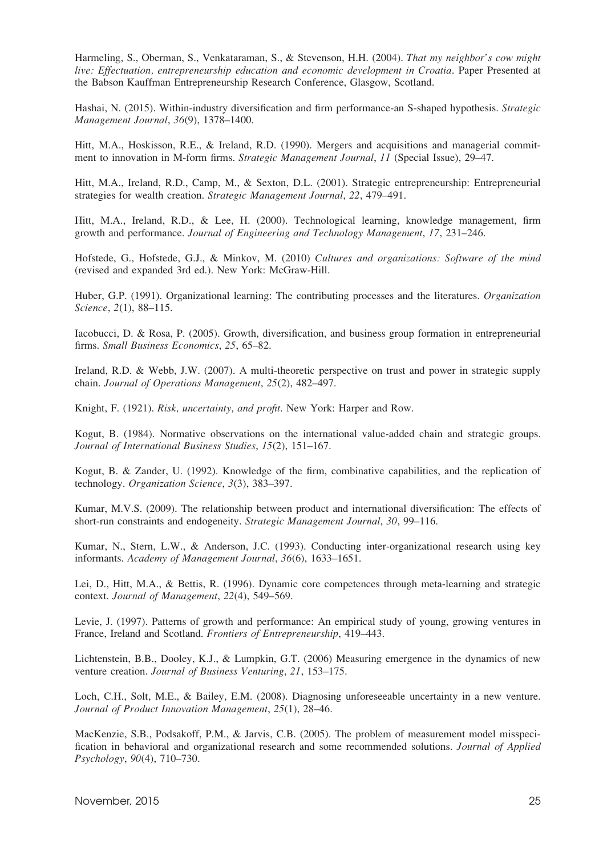Harmeling, S., Oberman, S., Venkataraman, S., & Stevenson, H.H. (2004). That my neighbor's cow might live: Effectuation, entrepreneurship education and economic development in Croatia. Paper Presented at the Babson Kauffman Entrepreneurship Research Conference, Glasgow, Scotland.

Hashai, N. (2015). Within-industry diversification and firm performance-an S-shaped hypothesis. Strategic Management Journal, 36(9), 1378–1400.

Hitt, M.A., Hoskisson, R.E., & Ireland, R.D. (1990). Mergers and acquisitions and managerial commitment to innovation in M-form firms. Strategic Management Journal, 11 (Special Issue), 29–47.

Hitt, M.A., Ireland, R.D., Camp, M., & Sexton, D.L. (2001). Strategic entrepreneurship: Entrepreneurial strategies for wealth creation. Strategic Management Journal, 22, 479–491.

Hitt, M.A., Ireland, R.D., & Lee, H. (2000). Technological learning, knowledge management, firm growth and performance. Journal of Engineering and Technology Management, 17, 231–246.

Hofstede, G., Hofstede, G.J., & Minkov, M. (2010) Cultures and organizations: Software of the mind (revised and expanded 3rd ed.). New York: McGraw-Hill.

Huber, G.P. (1991). Organizational learning: The contributing processes and the literatures. Organization Science, 2(1), 88–115.

Iacobucci, D. & Rosa, P. (2005). Growth, diversification, and business group formation in entrepreneurial firms. Small Business Economics, 25, 65–82.

Ireland, R.D. & Webb, J.W. (2007). A multi-theoretic perspective on trust and power in strategic supply chain. Journal of Operations Management, 25(2), 482–497.

Knight, F. (1921). Risk, uncertainty, and profit. New York: Harper and Row.

Kogut, B. (1984). Normative observations on the international value-added chain and strategic groups. Journal of International Business Studies, 15(2), 151–167.

Kogut, B. & Zander, U. (1992). Knowledge of the firm, combinative capabilities, and the replication of technology. Organization Science, 3(3), 383–397.

Kumar, M.V.S. (2009). The relationship between product and international diversification: The effects of short-run constraints and endogeneity. Strategic Management Journal, 30, 99–116.

Kumar, N., Stern, L.W., & Anderson, J.C. (1993). Conducting inter-organizational research using key informants. Academy of Management Journal, 36(6), 1633–1651.

Lei, D., Hitt, M.A., & Bettis, R. (1996). Dynamic core competences through meta-learning and strategic context. Journal of Management, 22(4), 549–569.

Levie, J. (1997). Patterns of growth and performance: An empirical study of young, growing ventures in France, Ireland and Scotland. Frontiers of Entrepreneurship, 419–443.

Lichtenstein, B.B., Dooley, K.J., & Lumpkin, G.T. (2006) Measuring emergence in the dynamics of new venture creation. Journal of Business Venturing, 21, 153–175.

Loch, C.H., Solt, M.E., & Bailey, E.M. (2008). Diagnosing unforeseeable uncertainty in a new venture. Journal of Product Innovation Management, 25(1), 28–46.

MacKenzie, S.B., Podsakoff, P.M., & Jarvis, C.B. (2005). The problem of measurement model misspecification in behavioral and organizational research and some recommended solutions. Journal of Applied Psychology, 90(4), 710–730.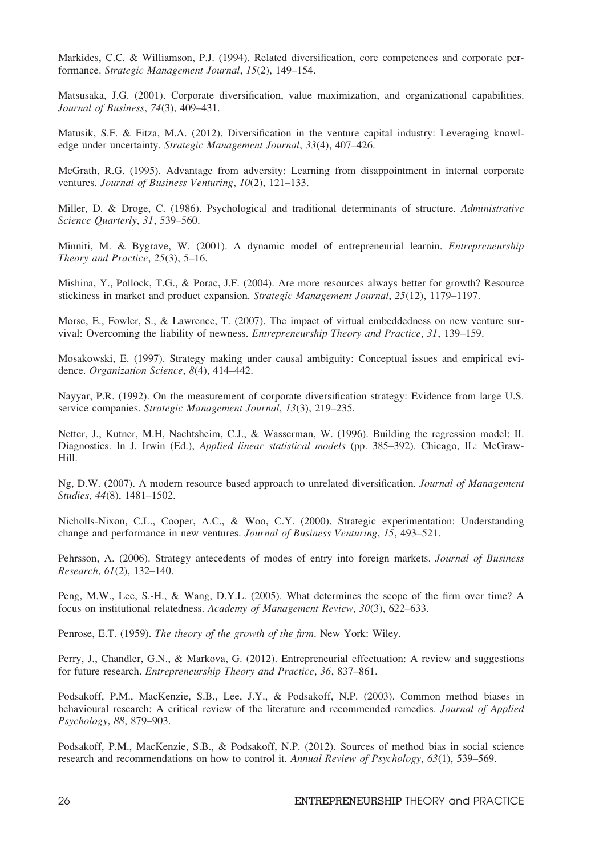Markides, C.C. & Williamson, P.J. (1994). Related diversification, core competences and corporate performance. Strategic Management Journal, 15(2), 149–154.

Matsusaka, J.G. (2001). Corporate diversification, value maximization, and organizational capabilities. Journal of Business, 74(3), 409–431.

Matusik, S.F. & Fitza, M.A. (2012). Diversification in the venture capital industry: Leveraging knowledge under uncertainty. Strategic Management Journal, 33(4), 407–426.

McGrath, R.G. (1995). Advantage from adversity: Learning from disappointment in internal corporate ventures. Journal of Business Venturing, 10(2), 121–133.

Miller, D. & Droge, C. (1986). Psychological and traditional determinants of structure. Administrative Science Quarterly, 31, 539–560.

Minniti, M. & Bygrave, W. (2001). A dynamic model of entrepreneurial learnin. Entrepreneurship Theory and Practice, 25(3), 5–16.

Mishina, Y., Pollock, T.G., & Porac, J.F. (2004). Are more resources always better for growth? Resource stickiness in market and product expansion. Strategic Management Journal, 25(12), 1179–1197.

Morse, E., Fowler, S., & Lawrence, T. (2007). The impact of virtual embeddedness on new venture survival: Overcoming the liability of newness. Entrepreneurship Theory and Practice, 31, 139–159.

Mosakowski, E. (1997). Strategy making under causal ambiguity: Conceptual issues and empirical evidence. Organization Science, 8(4), 414-442.

Nayyar, P.R. (1992). On the measurement of corporate diversification strategy: Evidence from large U.S. service companies. Strategic Management Journal, 13(3), 219–235.

Netter, J., Kutner, M.H, Nachtsheim, C.J., & Wasserman, W. (1996). Building the regression model: II. Diagnostics. In J. Irwin (Ed.), Applied linear statistical models (pp. 385–392). Chicago, IL: McGraw-Hill.

Ng, D.W. (2007). A modern resource based approach to unrelated diversification. Journal of Management Studies, 44(8), 1481–1502.

Nicholls-Nixon, C.L., Cooper, A.C., & Woo, C.Y. (2000). Strategic experimentation: Understanding change and performance in new ventures. Journal of Business Venturing, 15, 493–521.

Pehrsson, A. (2006). Strategy antecedents of modes of entry into foreign markets. Journal of Business Research, 61(2), 132–140.

Peng, M.W., Lee, S.-H., & Wang, D.Y.L. (2005). What determines the scope of the firm over time? A focus on institutional relatedness. Academy of Management Review, 30(3), 622–633.

Penrose, E.T. (1959). The theory of the growth of the firm. New York: Wiley.

Perry, J., Chandler, G.N., & Markova, G. (2012). Entrepreneurial effectuation: A review and suggestions for future research. Entrepreneurship Theory and Practice, 36, 837–861.

Podsakoff, P.M., MacKenzie, S.B., Lee, J.Y., & Podsakoff, N.P. (2003). Common method biases in behavioural research: A critical review of the literature and recommended remedies. Journal of Applied Psychology, 88, 879–903.

Podsakoff, P.M., MacKenzie, S.B., & Podsakoff, N.P. (2012). Sources of method bias in social science research and recommendations on how to control it. Annual Review of Psychology, 63(1), 539–569.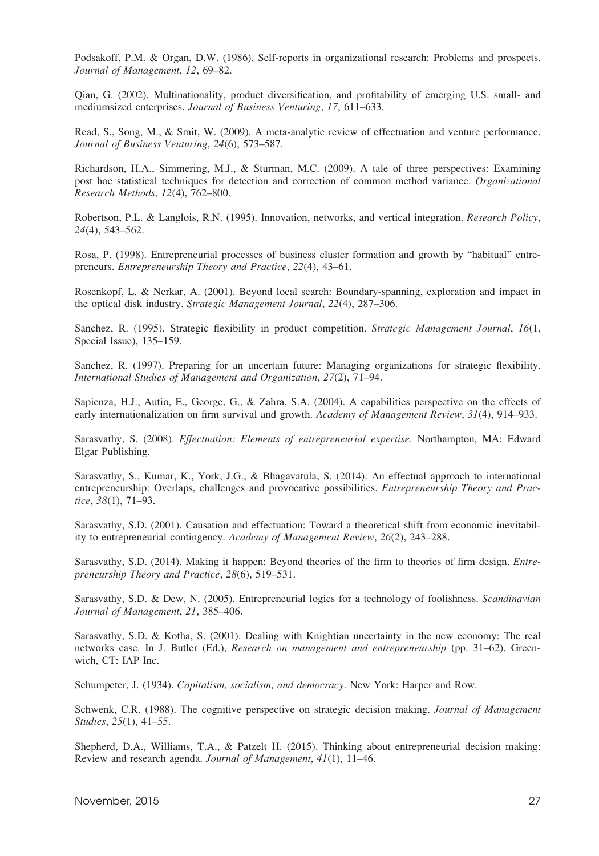Podsakoff, P.M. & Organ, D.W. (1986). Self-reports in organizational research: Problems and prospects. Journal of Management, 12, 69–82.

Qian, G. (2002). Multinationality, product diversification, and profitability of emerging U.S. small- and mediumsized enterprises. Journal of Business Venturing, 17, 611–633.

Read, S., Song, M., & Smit, W. (2009). A meta-analytic review of effectuation and venture performance. Journal of Business Venturing, 24(6), 573–587.

Richardson, H.A., Simmering, M.J., & Sturman, M.C. (2009). A tale of three perspectives: Examining post hoc statistical techniques for detection and correction of common method variance. Organizational Research Methods, 12(4), 762–800.

Robertson, P.L. & Langlois, R.N. (1995). Innovation, networks, and vertical integration. Research Policy, 24(4), 543–562.

Rosa, P. (1998). Entrepreneurial processes of business cluster formation and growth by "habitual" entrepreneurs. Entrepreneurship Theory and Practice, 22(4), 43–61.

Rosenkopf, L. & Nerkar, A. (2001). Beyond local search: Boundary-spanning, exploration and impact in the optical disk industry. Strategic Management Journal, 22(4), 287–306.

Sanchez, R. (1995). Strategic flexibility in product competition. Strategic Management Journal, 16(1, Special Issue), 135–159.

Sanchez, R. (1997). Preparing for an uncertain future: Managing organizations for strategic flexibility. International Studies of Management and Organization, 27(2), 71–94.

Sapienza, H.J., Autio, E., George, G., & Zahra, S.A. (2004). A capabilities perspective on the effects of early internationalization on firm survival and growth. Academy of Management Review, 31(4), 914–933.

Sarasvathy, S. (2008). Effectuation: Elements of entrepreneurial expertise. Northampton, MA: Edward Elgar Publishing.

Sarasvathy, S., Kumar, K., York, J.G., & Bhagavatula, S. (2014). An effectual approach to international entrepreneurship: Overlaps, challenges and provocative possibilities. Entrepreneurship Theory and Practice, 38(1), 71–93.

Sarasvathy, S.D. (2001). Causation and effectuation: Toward a theoretical shift from economic inevitability to entrepreneurial contingency. Academy of Management Review, 26(2), 243–288.

Sarasvathy, S.D. (2014). Making it happen: Beyond theories of the firm to theories of firm design. Entrepreneurship Theory and Practice, 28(6), 519–531.

Sarasvathy, S.D. & Dew, N. (2005). Entrepreneurial logics for a technology of foolishness. Scandinavian Journal of Management, 21, 385–406.

Sarasvathy, S.D. & Kotha, S. (2001). Dealing with Knightian uncertainty in the new economy: The real networks case. In J. Butler (Ed.), *Research on management and entrepreneurship* (pp. 31–62). Greenwich, CT: IAP Inc.

Schumpeter, J. (1934). Capitalism, socialism, and democracy. New York: Harper and Row.

Schwenk, C.R. (1988). The cognitive perspective on strategic decision making. Journal of Management Studies, 25(1), 41–55.

Shepherd, D.A., Williams, T.A., & Patzelt H. (2015). Thinking about entrepreneurial decision making: Review and research agenda. Journal of Management, 41(1), 11–46.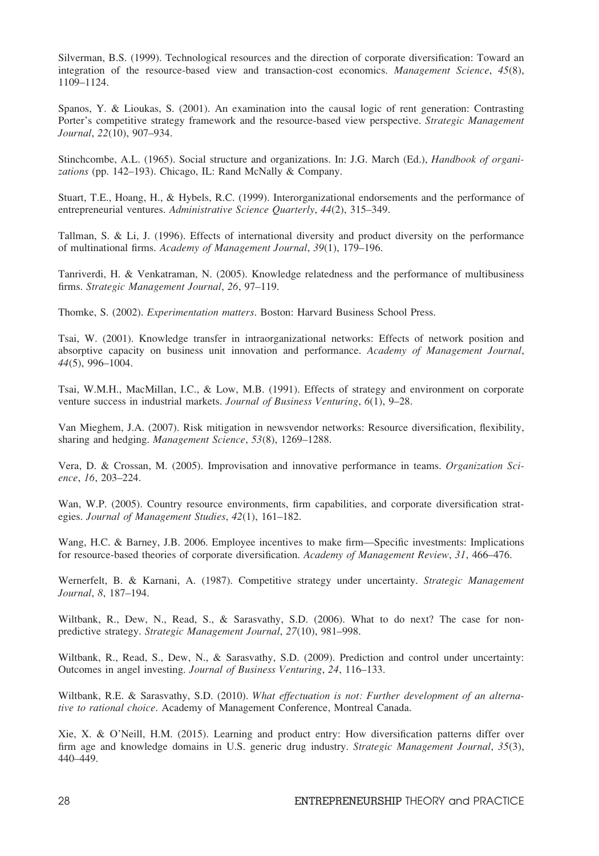Silverman, B.S. (1999). Technological resources and the direction of corporate diversification: Toward an integration of the resource-based view and transaction-cost economics. Management Science, 45(8), 1109–1124.

Spanos, Y. & Lioukas, S. (2001). An examination into the causal logic of rent generation: Contrasting Porter's competitive strategy framework and the resource-based view perspective. Strategic Management Journal, 22(10), 907–934.

Stinchcombe, A.L. (1965). Social structure and organizations. In: J.G. March (Ed.), *Handbook of organi*zations (pp. 142–193). Chicago, IL: Rand McNally & Company.

Stuart, T.E., Hoang, H., & Hybels, R.C. (1999). Interorganizational endorsements and the performance of entrepreneurial ventures. Administrative Science Quarterly, 44(2), 315–349.

Tallman, S. & Li, J. (1996). Effects of international diversity and product diversity on the performance of multinational firms. Academy of Management Journal, 39(1), 179–196.

Tanriverdi, H. & Venkatraman, N. (2005). Knowledge relatedness and the performance of multibusiness firms. Strategic Management Journal, 26, 97–119.

Thomke, S. (2002). Experimentation matters. Boston: Harvard Business School Press.

Tsai, W. (2001). Knowledge transfer in intraorganizational networks: Effects of network position and absorptive capacity on business unit innovation and performance. Academy of Management Journal, 44(5), 996–1004.

Tsai, W.M.H., MacMillan, I.C., & Low, M.B. (1991). Effects of strategy and environment on corporate venture success in industrial markets. Journal of Business Venturing, 6(1), 9-28.

Van Mieghem, J.A. (2007). Risk mitigation in newsvendor networks: Resource diversification, flexibility, sharing and hedging. Management Science, 53(8), 1269–1288.

Vera, D. & Crossan, M. (2005). Improvisation and innovative performance in teams. Organization Science, 16, 203–224.

Wan, W.P. (2005). Country resource environments, firm capabilities, and corporate diversification strategies. Journal of Management Studies, 42(1), 161–182.

Wang, H.C. & Barney, J.B. 2006. Employee incentives to make firm—Specific investments: Implications for resource-based theories of corporate diversification. Academy of Management Review, 31, 466-476.

Wernerfelt, B. & Karnani, A. (1987). Competitive strategy under uncertainty. Strategic Management Journal, 8, 187–194.

Wiltbank, R., Dew, N., Read, S., & Sarasvathy, S.D. (2006). What to do next? The case for nonpredictive strategy. Strategic Management Journal, 27(10), 981–998.

Wiltbank, R., Read, S., Dew, N., & Sarasvathy, S.D. (2009). Prediction and control under uncertainty: Outcomes in angel investing. Journal of Business Venturing, 24, 116–133.

Wiltbank, R.E. & Sarasvathy, S.D. (2010). What effectuation is not: Further development of an alternative to rational choice. Academy of Management Conference, Montreal Canada.

Xie, X. & O'Neill, H.M. (2015). Learning and product entry: How diversification patterns differ over firm age and knowledge domains in U.S. generic drug industry. Strategic Management Journal, 35(3), 440–449.